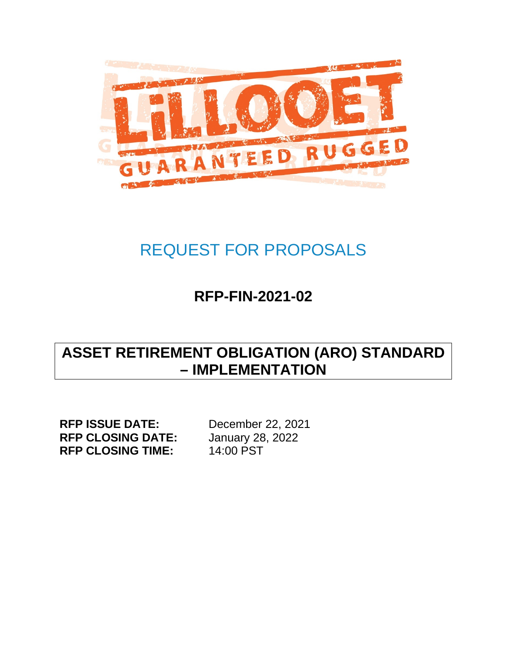

# <span id="page-0-0"></span>REQUEST FOR PROPOSALS

# **RFP-FIN-2021-02**

# **ASSET RETIREMENT OBLIGATION (ARO) STANDARD – IMPLEMENTATION**

**RFP ISSUE DATE:** December 22, 2021<br> **RFP CLOSING DATE:** January 28, 2022 **RFP CLOSING DATE:** January 28<br>**RFP CLOSING TIME:** 14:00 PST **RFP CLOSING TIME:**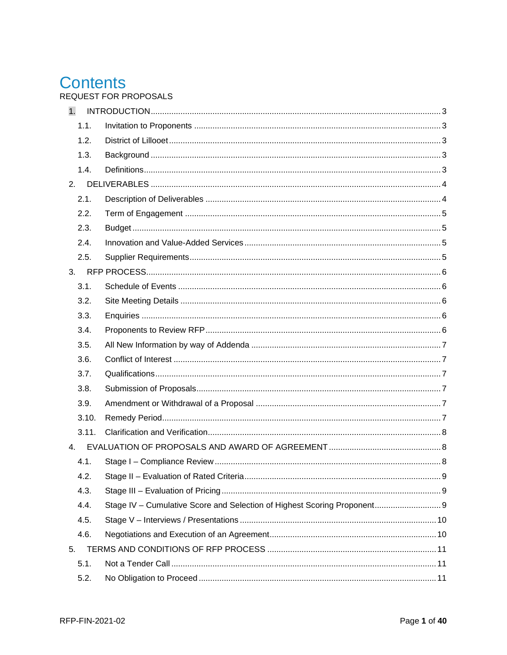# **Contents**

REQUEST FOR PROPOSALS

| $\mathbf{1}$ . |                                                                          |  |
|----------------|--------------------------------------------------------------------------|--|
| 1.1.           |                                                                          |  |
| 1.2.           |                                                                          |  |
| 1.3.           |                                                                          |  |
| 1.4.           |                                                                          |  |
|                |                                                                          |  |
| 2.1.           |                                                                          |  |
| 2.2.           |                                                                          |  |
| 2.3.           |                                                                          |  |
| 2.4.           |                                                                          |  |
| 2.5.           |                                                                          |  |
|                |                                                                          |  |
| 3.1.           |                                                                          |  |
| 3.2.           |                                                                          |  |
| 3.3.           |                                                                          |  |
| 3.4.           |                                                                          |  |
| 3.5.           |                                                                          |  |
| 3.6.           |                                                                          |  |
| 3.7.           |                                                                          |  |
| 3.8.           |                                                                          |  |
| 3.9.           |                                                                          |  |
| 3.10.          |                                                                          |  |
| 3.11.          |                                                                          |  |
| 4.             |                                                                          |  |
| 4.1.           |                                                                          |  |
|                |                                                                          |  |
| 4.3.           |                                                                          |  |
| 4.4.           | Stage IV - Cumulative Score and Selection of Highest Scoring Proponent 9 |  |
| 4.5.           |                                                                          |  |
| 4.6.           |                                                                          |  |
| 5.             |                                                                          |  |
| 5.1.           |                                                                          |  |
| 5.2.           |                                                                          |  |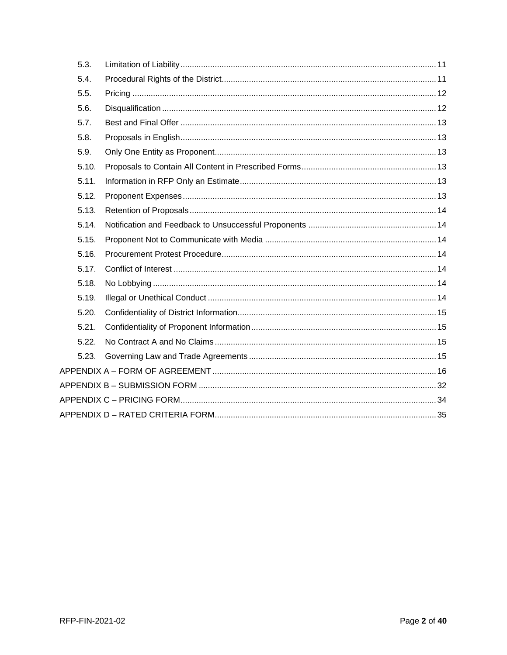<span id="page-2-0"></span>

| 5.3.  |  |
|-------|--|
| 5.4.  |  |
| 5.5.  |  |
| 5.6.  |  |
| 5.7.  |  |
| 5.8.  |  |
| 5.9.  |  |
| 5.10. |  |
| 5.11. |  |
| 5.12. |  |
| 5.13. |  |
| 5.14. |  |
| 5.15. |  |
| 5.16. |  |
| 5.17. |  |
| 5.18. |  |
| 5.19. |  |
| 5.20. |  |
| 5.21. |  |
| 5.22. |  |
| 5.23. |  |
|       |  |
|       |  |
|       |  |
|       |  |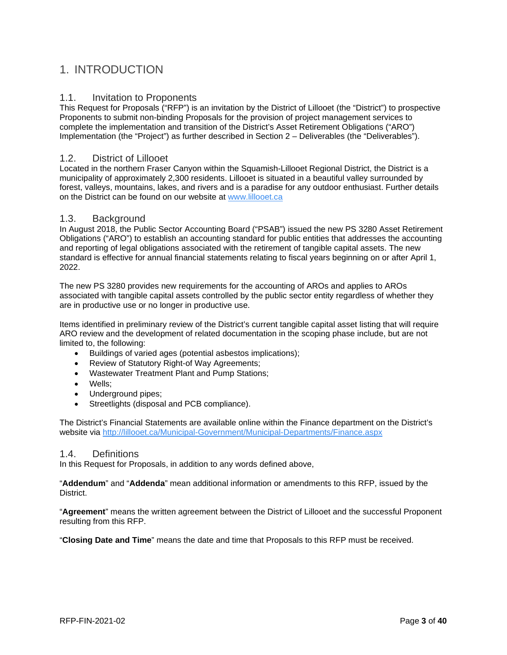# 1. INTRODUCTION

#### <span id="page-3-0"></span>1.1. Invitation to Proponents

This Request for Proposals ("RFP") is an invitation by the District of Lillooet (the "District") to prospective Proponents to submit non-binding Proposals for the provision of project management services to complete the implementation and transition of the District's Asset Retirement Obligations ("ARO") Implementation (the "Project") as further described in Section 2 – Deliverables (the "Deliverables").

#### <span id="page-3-1"></span>1.2. District of Lillooet

Located in the northern Fraser Canyon within the Squamish-Lillooet Regional District, the District is a municipality of approximately 2,300 residents. Lillooet is situated in a beautiful valley surrounded by forest, valleys, mountains, lakes, and rivers and is a paradise for any outdoor enthusiast. Further details on the District can be found on our website at [www.lillooet.ca](http://www.lillooet.ca/)

#### <span id="page-3-2"></span>1.3. Background

In August 2018, the Public Sector Accounting Board ("PSAB") issued the new PS 3280 Asset Retirement Obligations ("ARO") to establish an accounting standard for public entities that addresses the accounting and reporting of legal obligations associated with the retirement of tangible capital assets. The new standard is effective for annual financial statements relating to fiscal years beginning on or after April 1, 2022.

The new PS 3280 provides new requirements for the accounting of AROs and applies to AROs associated with tangible capital assets controlled by the public sector entity regardless of whether they are in productive use or no longer in productive use.

Items identified in preliminary review of the District's current tangible capital asset listing that will require ARO review and the development of related documentation in the scoping phase include, but are not limited to, the following:

- Buildings of varied ages (potential asbestos implications);
- Review of Statutory Right-of Way Agreements;
- Wastewater Treatment Plant and Pump Stations;
- Wells;
- Underground pipes;
- Streetlights (disposal and PCB compliance).

The District's Financial Statements are available online within the Finance department on the District's website via<http://lillooet.ca/Municipal-Government/Municipal-Departments/Finance.aspx>

#### <span id="page-3-3"></span>1.4. Definitions

In this Request for Proposals, in addition to any words defined above,

"**Addendum**" and "**Addenda**" mean additional information or amendments to this RFP, issued by the District.

"**Agreement**" means the written agreement between the District of Lillooet and the successful Proponent resulting from this RFP.

"**Closing Date and Time**" means the date and time that Proposals to this RFP must be received.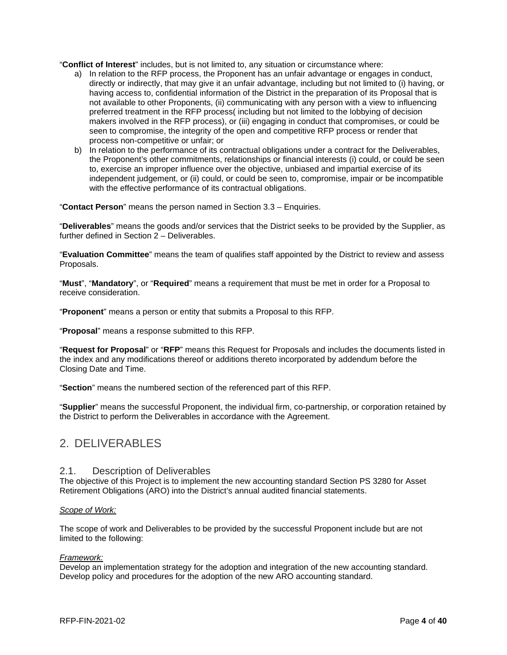"**Conflict of Interest**" includes, but is not limited to, any situation or circumstance where:

- a) In relation to the RFP process, the Proponent has an unfair advantage or engages in conduct, directly or indirectly, that may give it an unfair advantage, including but not limited to (i) having, or having access to, confidential information of the District in the preparation of its Proposal that is not available to other Proponents, (ii) communicating with any person with a view to influencing preferred treatment in the RFP process( including but not limited to the lobbying of decision makers involved in the RFP process), or (iii) engaging in conduct that compromises, or could be seen to compromise, the integrity of the open and competitive RFP process or render that process non-competitive or unfair; or
- b) In relation to the performance of its contractual obligations under a contract for the Deliverables, the Proponent's other commitments, relationships or financial interests (i) could, or could be seen to, exercise an improper influence over the objective, unbiased and impartial exercise of its independent judgement, or (ii) could, or could be seen to, compromise, impair or be incompatible with the effective performance of its contractual obligations.

"**Contact Person**" means the person named in Section 3.3 – Enquiries.

"**Deliverables**" means the goods and/or services that the District seeks to be provided by the Supplier, as further defined in Section 2 – Deliverables.

"**Evaluation Committee**" means the team of qualifies staff appointed by the District to review and assess Proposals.

"**Must**", "**Mandatory**", or "**Required**" means a requirement that must be met in order for a Proposal to receive consideration.

"**Proponent**" means a person or entity that submits a Proposal to this RFP.

"**Proposal**" means a response submitted to this RFP.

"**Request for Proposal**" or "**RFP**" means this Request for Proposals and includes the documents listed in the index and any modifications thereof or additions thereto incorporated by addendum before the Closing Date and Time.

"**Section**" means the numbered section of the referenced part of this RFP.

"**Supplier**" means the successful Proponent, the individual firm, co-partnership, or corporation retained by the District to perform the Deliverables in accordance with the Agreement.

## <span id="page-4-0"></span>2. DELIVERABLES

#### <span id="page-4-1"></span>2.1. Description of Deliverables

The objective of this Project is to implement the new accounting standard Section PS 3280 for Asset Retirement Obligations (ARO) into the District's annual audited financial statements.

#### *Scope of Work:*

The scope of work and Deliverables to be provided by the successful Proponent include but are not limited to the following:

#### *Framework:*

Develop an implementation strategy for the adoption and integration of the new accounting standard. Develop policy and procedures for the adoption of the new ARO accounting standard.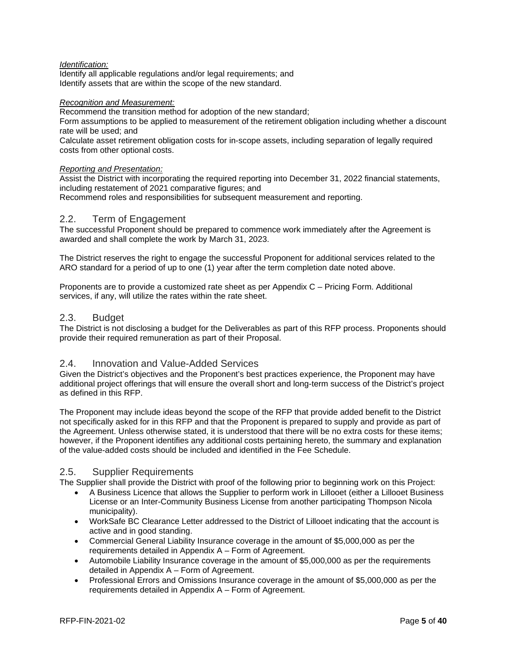#### *Identification:*

Identify all applicable regulations and/or legal requirements; and Identify assets that are within the scope of the new standard.

#### *Recognition and Measurement:*

Recommend the transition method for adoption of the new standard;

Form assumptions to be applied to measurement of the retirement obligation including whether a discount rate will be used; and

Calculate asset retirement obligation costs for in-scope assets, including separation of legally required costs from other optional costs.

#### *Reporting and Presentation:*

Assist the District with incorporating the required reporting into December 31, 2022 financial statements, including restatement of 2021 comparative figures; and

Recommend roles and responsibilities for subsequent measurement and reporting.

#### <span id="page-5-0"></span>2.2. Term of Engagement

The successful Proponent should be prepared to commence work immediately after the Agreement is awarded and shall complete the work by March 31, 2023.

The District reserves the right to engage the successful Proponent for additional services related to the ARO standard for a period of up to one (1) year after the term completion date noted above.

Proponents are to provide a customized rate sheet as per Appendix C – Pricing Form. Additional services, if any, will utilize the rates within the rate sheet.

#### <span id="page-5-1"></span>2.3. Budget

The District is not disclosing a budget for the Deliverables as part of this RFP process. Proponents should provide their required remuneration as part of their Proposal.

#### <span id="page-5-2"></span>2.4. Innovation and Value-Added Services

Given the District's objectives and the Proponent's best practices experience, the Proponent may have additional project offerings that will ensure the overall short and long-term success of the District's project as defined in this RFP.

The Proponent may include ideas beyond the scope of the RFP that provide added benefit to the District not specifically asked for in this RFP and that the Proponent is prepared to supply and provide as part of the Agreement. Unless otherwise stated, it is understood that there will be no extra costs for these items; however, if the Proponent identifies any additional costs pertaining hereto, the summary and explanation of the value-added costs should be included and identified in the Fee Schedule.

#### <span id="page-5-3"></span>2.5. Supplier Requirements

The Supplier shall provide the District with proof of the following prior to beginning work on this Project:

- A Business Licence that allows the Supplier to perform work in Lillooet (either a Lillooet Business License or an Inter-Community Business License from another participating Thompson Nicola municipality).
- WorkSafe BC Clearance Letter addressed to the District of Lillooet indicating that the account is active and in good standing.
- Commercial General Liability Insurance coverage in the amount of \$5,000,000 as per the requirements detailed in Appendix A – Form of Agreement.
- Automobile Liability Insurance coverage in the amount of \$5,000,000 as per the requirements detailed in Appendix A – Form of Agreement.
- Professional Errors and Omissions Insurance coverage in the amount of \$5,000,000 as per the requirements detailed in Appendix A – Form of Agreement.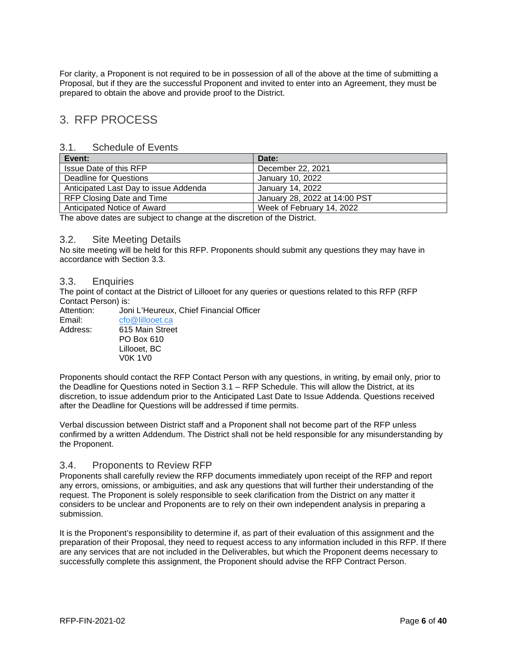For clarity, a Proponent is not required to be in possession of all of the above at the time of submitting a Proposal, but if they are the successful Proponent and invited to enter into an Agreement, they must be prepared to obtain the above and provide proof to the District.

## <span id="page-6-0"></span>3. RFP PROCESS

#### <span id="page-6-1"></span>3.1. Schedule of Events

| Event:                                | Date:                         |
|---------------------------------------|-------------------------------|
| Issue Date of this RFP                | December 22, 2021             |
| Deadline for Questions                | January 10, 2022              |
| Anticipated Last Day to issue Addenda | January 14, 2022              |
| RFP Closing Date and Time             | January 28, 2022 at 14:00 PST |
| Anticipated Notice of Award           | Week of February 14, 2022     |

The above dates are subject to change at the discretion of the District.

#### <span id="page-6-2"></span>3.2. Site Meeting Details

No site meeting will be held for this RFP. Proponents should submit any questions they may have in accordance with Section 3.3.

#### <span id="page-6-3"></span>3.3. Enquiries

The point of contact at the District of Lillooet for any queries or questions related to this RFP (RFP Contact Person) is:<br>Attention: Jon

Joni L'Heureux, Chief Financial Officer Email: [cfo@lillooet.ca](mailto:cfo@lillooet.ca) Address: 615 Main Street PO Box 610 Lillooet, BC V0K 1V0

Proponents should contact the RFP Contact Person with any questions, in writing, by email only, prior to the Deadline for Questions noted in Section 3.1 – RFP Schedule. This will allow the District, at its discretion, to issue addendum prior to the Anticipated Last Date to Issue Addenda. Questions received after the Deadline for Questions will be addressed if time permits.

Verbal discussion between District staff and a Proponent shall not become part of the RFP unless confirmed by a written Addendum. The District shall not be held responsible for any misunderstanding by the Proponent.

#### <span id="page-6-4"></span>3.4. Proponents to Review RFP

Proponents shall carefully review the RFP documents immediately upon receipt of the RFP and report any errors, omissions, or ambiguities, and ask any questions that will further their understanding of the request. The Proponent is solely responsible to seek clarification from the District on any matter it considers to be unclear and Proponents are to rely on their own independent analysis in preparing a submission.

It is the Proponent's responsibility to determine if, as part of their evaluation of this assignment and the preparation of their Proposal, they need to request access to any information included in this RFP. If there are any services that are not included in the Deliverables, but which the Proponent deems necessary to successfully complete this assignment, the Proponent should advise the RFP Contract Person.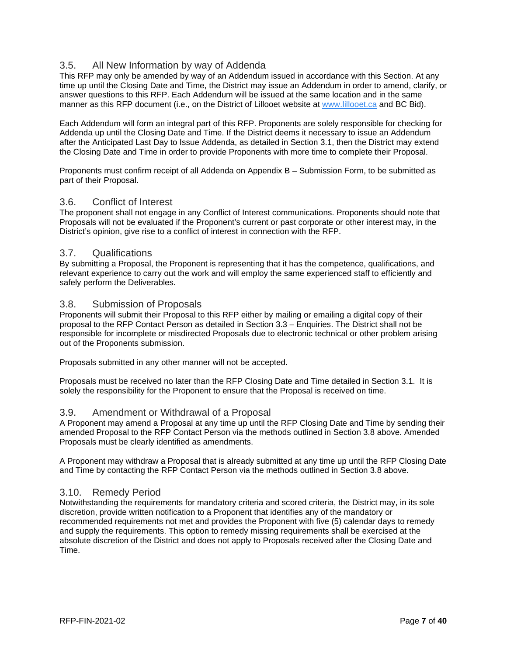## <span id="page-7-0"></span>3.5. All New Information by way of Addenda

This RFP may only be amended by way of an Addendum issued in accordance with this Section. At any time up until the Closing Date and Time, the District may issue an Addendum in order to amend, clarify, or answer questions to this RFP. Each Addendum will be issued at the same location and in the same manner as this RFP document (i.e., on the District of Lillooet website at [www.lillooet.ca](http://www.lillooet.ca/) and BC Bid).

Each Addendum will form an integral part of this RFP. Proponents are solely responsible for checking for Addenda up until the Closing Date and Time. If the District deems it necessary to issue an Addendum after the Anticipated Last Day to Issue Addenda, as detailed in Section 3.1, then the District may extend the Closing Date and Time in order to provide Proponents with more time to complete their Proposal.

Proponents must confirm receipt of all Addenda on Appendix B – Submission Form, to be submitted as part of their Proposal.

#### <span id="page-7-1"></span>3.6. Conflict of Interest

The proponent shall not engage in any Conflict of Interest communications. Proponents should note that Proposals will not be evaluated if the Proponent's current or past corporate or other interest may, in the District's opinion, give rise to a conflict of interest in connection with the RFP.

#### <span id="page-7-2"></span>3.7. Qualifications

By submitting a Proposal, the Proponent is representing that it has the competence, qualifications, and relevant experience to carry out the work and will employ the same experienced staff to efficiently and safely perform the Deliverables.

#### <span id="page-7-3"></span>3.8. Submission of Proposals

Proponents will submit their Proposal to this RFP either by mailing or emailing a digital copy of their proposal to the RFP Contact Person as detailed in Section 3.3 – Enquiries. The District shall not be responsible for incomplete or misdirected Proposals due to electronic technical or other problem arising out of the Proponents submission.

Proposals submitted in any other manner will not be accepted.

Proposals must be received no later than the RFP Closing Date and Time detailed in Section 3.1. It is solely the responsibility for the Proponent to ensure that the Proposal is received on time.

#### <span id="page-7-4"></span>3.9. Amendment or Withdrawal of a Proposal

A Proponent may amend a Proposal at any time up until the RFP Closing Date and Time by sending their amended Proposal to the RFP Contact Person via the methods outlined in Section 3.8 above. Amended Proposals must be clearly identified as amendments.

A Proponent may withdraw a Proposal that is already submitted at any time up until the RFP Closing Date and Time by contacting the RFP Contact Person via the methods outlined in Section 3.8 above.

#### <span id="page-7-5"></span>3.10. Remedy Period

Notwithstanding the requirements for mandatory criteria and scored criteria, the District may, in its sole discretion, provide written notification to a Proponent that identifies any of the mandatory or recommended requirements not met and provides the Proponent with five (5) calendar days to remedy and supply the requirements. This option to remedy missing requirements shall be exercised at the absolute discretion of the District and does not apply to Proposals received after the Closing Date and Time.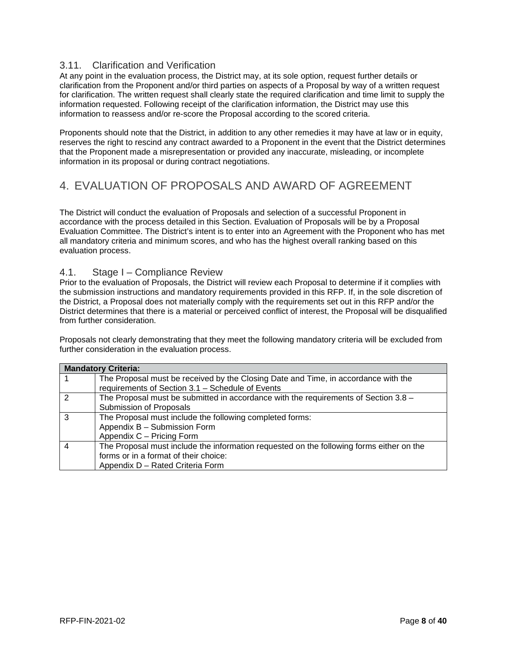## <span id="page-8-0"></span>3.11. Clarification and Verification

At any point in the evaluation process, the District may, at its sole option, request further details or clarification from the Proponent and/or third parties on aspects of a Proposal by way of a written request for clarification. The written request shall clearly state the required clarification and time limit to supply the information requested. Following receipt of the clarification information, the District may use this information to reassess and/or re-score the Proposal according to the scored criteria.

Proponents should note that the District, in addition to any other remedies it may have at law or in equity, reserves the right to rescind any contract awarded to a Proponent in the event that the District determines that the Proponent made a misrepresentation or provided any inaccurate, misleading, or incomplete information in its proposal or during contract negotiations.

# <span id="page-8-1"></span>4. EVALUATION OF PROPOSALS AND AWARD OF AGREEMENT

The District will conduct the evaluation of Proposals and selection of a successful Proponent in accordance with the process detailed in this Section. Evaluation of Proposals will be by a Proposal Evaluation Committee. The District's intent is to enter into an Agreement with the Proponent who has met all mandatory criteria and minimum scores, and who has the highest overall ranking based on this evaluation process.

#### <span id="page-8-2"></span>4.1. Stage I – Compliance Review

Prior to the evaluation of Proposals, the District will review each Proposal to determine if it complies with the submission instructions and mandatory requirements provided in this RFP. If, in the sole discretion of the District, a Proposal does not materially comply with the requirements set out in this RFP and/or the District determines that there is a material or perceived conflict of interest, the Proposal will be disqualified from further consideration.

Proposals not clearly demonstrating that they meet the following mandatory criteria will be excluded from further consideration in the evaluation process.

|               | <b>Mandatory Criteria:</b>                                                               |
|---------------|------------------------------------------------------------------------------------------|
|               | The Proposal must be received by the Closing Date and Time, in accordance with the       |
|               | requirements of Section 3.1 - Schedule of Events                                         |
| $\mathcal{P}$ | The Proposal must be submitted in accordance with the requirements of Section 3.8 -      |
|               | Submission of Proposals                                                                  |
| 3             | The Proposal must include the following completed forms:                                 |
|               | Appendix B - Submission Form                                                             |
|               | Appendix C - Pricing Form                                                                |
|               | The Proposal must include the information requested on the following forms either on the |
|               | forms or in a format of their choice:                                                    |
|               | Appendix D - Rated Criteria Form                                                         |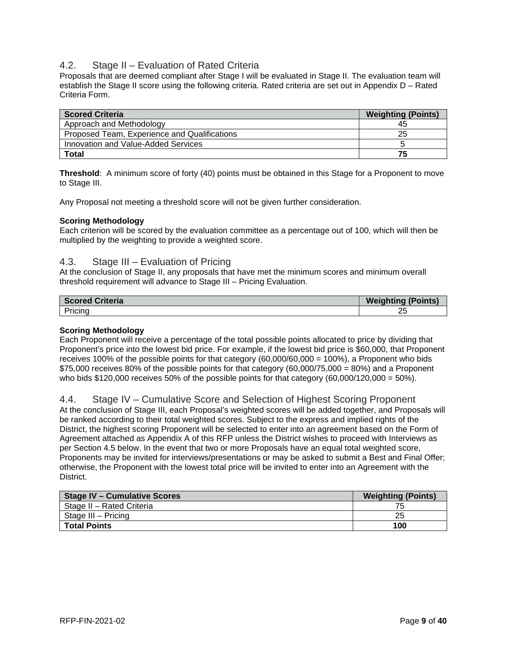### <span id="page-9-0"></span>4.2. Stage II – Evaluation of Rated Criteria

Proposals that are deemed compliant after Stage I will be evaluated in Stage II. The evaluation team will establish the Stage II score using the following criteria. Rated criteria are set out in Appendix D – Rated Criteria Form.

| <b>Scored Criteria</b>                       | <b>Weighting (Points)</b> |
|----------------------------------------------|---------------------------|
| Approach and Methodology                     | 45                        |
| Proposed Team, Experience and Qualifications | 25                        |
| Innovation and Value-Added Services          |                           |
| <b>Total</b>                                 | 75                        |

**Threshold**: A minimum score of forty (40) points must be obtained in this Stage for a Proponent to move to Stage III.

Any Proposal not meeting a threshold score will not be given further consideration.

#### **Scoring Methodology**

Each criterion will be scored by the evaluation committee as a percentage out of 100, which will then be multiplied by the weighting to provide a weighted score.

#### <span id="page-9-1"></span>4.3. Stage III – Evaluation of Pricing

At the conclusion of Stage II, any proposals that have met the minimum scores and minimum overall threshold requirement will advance to Stage III – Pricing Evaluation.

| <b>Scored Criteria</b> | <b>Weighting (Points)</b> |
|------------------------|---------------------------|
| Pricing                | 25                        |

#### **Scoring Methodology**

Each Proponent will receive a percentage of the total possible points allocated to price by dividing that Proponent's price into the lowest bid price. For example, if the lowest bid price is \$60,000, that Proponent receives 100% of the possible points for that category (60,000/60,000 = 100%), a Proponent who bids \$75,000 receives 80% of the possible points for that category (60,000/75,000 = 80%) and a Proponent who bids  $$120,000$  receives 50% of the possible points for that category  $(60,000/120,000 = 50%)$ .

#### <span id="page-9-2"></span>4.4. Stage IV – Cumulative Score and Selection of Highest Scoring Proponent

At the conclusion of Stage III, each Proposal's weighted scores will be added together, and Proposals will be ranked according to their total weighted scores. Subject to the express and implied rights of the District, the highest scoring Proponent will be selected to enter into an agreement based on the Form of Agreement attached as Appendix A of this RFP unless the District wishes to proceed with Interviews as per Section 4.5 below. In the event that two or more Proposals have an equal total weighted score, Proponents may be invited for interviews/presentations or may be asked to submit a Best and Final Offer; otherwise, the Proponent with the lowest total price will be invited to enter into an Agreement with the District.

| <b>Stage IV - Cumulative Scores</b> | <b>Weighting (Points)</b> |
|-------------------------------------|---------------------------|
| Stage II - Rated Criteria           |                           |
| Stage III – Pricing                 | 25                        |
| <b>Total Points</b>                 | 100                       |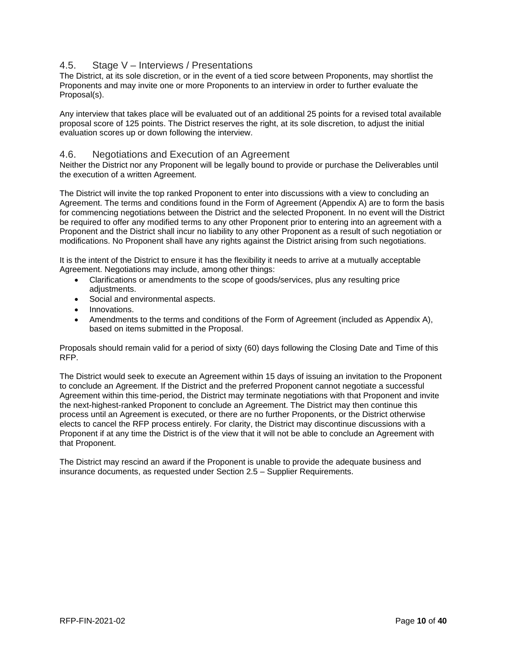### <span id="page-10-0"></span>4.5. Stage V – Interviews / Presentations

The District, at its sole discretion, or in the event of a tied score between Proponents, may shortlist the Proponents and may invite one or more Proponents to an interview in order to further evaluate the Proposal(s).

Any interview that takes place will be evaluated out of an additional 25 points for a revised total available proposal score of 125 points. The District reserves the right, at its sole discretion, to adjust the initial evaluation scores up or down following the interview.

#### <span id="page-10-1"></span>4.6. Negotiations and Execution of an Agreement

Neither the District nor any Proponent will be legally bound to provide or purchase the Deliverables until the execution of a written Agreement.

The District will invite the top ranked Proponent to enter into discussions with a view to concluding an Agreement. The terms and conditions found in the Form of Agreement (Appendix A) are to form the basis for commencing negotiations between the District and the selected Proponent. In no event will the District be required to offer any modified terms to any other Proponent prior to entering into an agreement with a Proponent and the District shall incur no liability to any other Proponent as a result of such negotiation or modifications. No Proponent shall have any rights against the District arising from such negotiations.

It is the intent of the District to ensure it has the flexibility it needs to arrive at a mutually acceptable Agreement. Negotiations may include, among other things:

- Clarifications or amendments to the scope of goods/services, plus any resulting price adiustments.
- Social and environmental aspects.
- Innovations.
- Amendments to the terms and conditions of the Form of Agreement (included as Appendix A), based on items submitted in the Proposal.

Proposals should remain valid for a period of sixty (60) days following the Closing Date and Time of this RFP.

The District would seek to execute an Agreement within 15 days of issuing an invitation to the Proponent to conclude an Agreement. If the District and the preferred Proponent cannot negotiate a successful Agreement within this time-period, the District may terminate negotiations with that Proponent and invite the next-highest-ranked Proponent to conclude an Agreement. The District may then continue this process until an Agreement is executed, or there are no further Proponents, or the District otherwise elects to cancel the RFP process entirely. For clarity, the District may discontinue discussions with a Proponent if at any time the District is of the view that it will not be able to conclude an Agreement with that Proponent.

The District may rescind an award if the Proponent is unable to provide the adequate business and insurance documents, as requested under Section 2.5 – Supplier Requirements.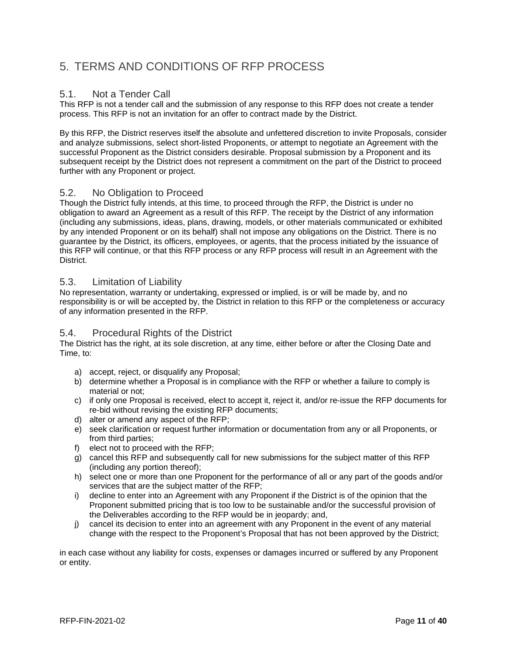# <span id="page-11-0"></span>5. TERMS AND CONDITIONS OF RFP PROCESS

### <span id="page-11-1"></span>5.1. Not a Tender Call

This RFP is not a tender call and the submission of any response to this RFP does not create a tender process. This RFP is not an invitation for an offer to contract made by the District.

By this RFP, the District reserves itself the absolute and unfettered discretion to invite Proposals, consider and analyze submissions, select short-listed Proponents, or attempt to negotiate an Agreement with the successful Proponent as the District considers desirable. Proposal submission by a Proponent and its subsequent receipt by the District does not represent a commitment on the part of the District to proceed further with any Proponent or project.

#### <span id="page-11-2"></span>5.2. No Obligation to Proceed

Though the District fully intends, at this time, to proceed through the RFP, the District is under no obligation to award an Agreement as a result of this RFP. The receipt by the District of any information (including any submissions, ideas, plans, drawing, models, or other materials communicated or exhibited by any intended Proponent or on its behalf) shall not impose any obligations on the District. There is no guarantee by the District, its officers, employees, or agents, that the process initiated by the issuance of this RFP will continue, or that this RFP process or any RFP process will result in an Agreement with the District.

#### <span id="page-11-3"></span>5.3. Limitation of Liability

No representation, warranty or undertaking, expressed or implied, is or will be made by, and no responsibility is or will be accepted by, the District in relation to this RFP or the completeness or accuracy of any information presented in the RFP.

#### <span id="page-11-4"></span>5.4. Procedural Rights of the District

The District has the right, at its sole discretion, at any time, either before or after the Closing Date and Time, to:

- a) accept, reject, or disqualify any Proposal;
- b) determine whether a Proposal is in compliance with the RFP or whether a failure to comply is material or not;
- c) if only one Proposal is received, elect to accept it, reject it, and/or re-issue the RFP documents for re-bid without revising the existing RFP documents;
- d) alter or amend any aspect of the RFP;
- e) seek clarification or request further information or documentation from any or all Proponents, or from third parties;
- f) elect not to proceed with the RFP;
- g) cancel this RFP and subsequently call for new submissions for the subject matter of this RFP (including any portion thereof);
- h) select one or more than one Proponent for the performance of all or any part of the goods and/or services that are the subject matter of the RFP;
- i) decline to enter into an Agreement with any Proponent if the District is of the opinion that the Proponent submitted pricing that is too low to be sustainable and/or the successful provision of the Deliverables according to the RFP would be in jeopardy; and,
- j) cancel its decision to enter into an agreement with any Proponent in the event of any material change with the respect to the Proponent's Proposal that has not been approved by the District;

in each case without any liability for costs, expenses or damages incurred or suffered by any Proponent or entity.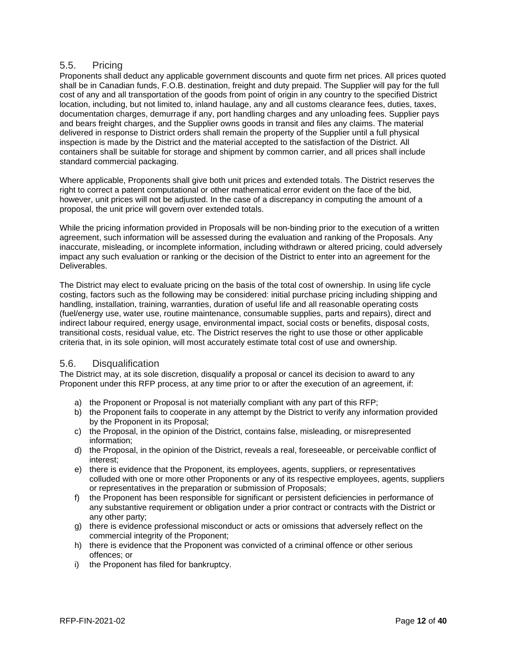#### <span id="page-12-0"></span>5.5. Pricing

Proponents shall deduct any applicable government discounts and quote firm net prices. All prices quoted shall be in Canadian funds, F.O.B. destination, freight and duty prepaid. The Supplier will pay for the full cost of any and all transportation of the goods from point of origin in any country to the specified District location, including, but not limited to, inland haulage, any and all customs clearance fees, duties, taxes, documentation charges, demurrage if any, port handling charges and any unloading fees. Supplier pays and bears freight charges, and the Supplier owns goods in transit and files any claims. The material delivered in response to District orders shall remain the property of the Supplier until a full physical inspection is made by the District and the material accepted to the satisfaction of the District. All containers shall be suitable for storage and shipment by common carrier, and all prices shall include standard commercial packaging.

Where applicable, Proponents shall give both unit prices and extended totals. The District reserves the right to correct a patent computational or other mathematical error evident on the face of the bid, however, unit prices will not be adjusted. In the case of a discrepancy in computing the amount of a proposal, the unit price will govern over extended totals.

While the pricing information provided in Proposals will be non-binding prior to the execution of a written agreement, such information will be assessed during the evaluation and ranking of the Proposals. Any inaccurate, misleading, or incomplete information, including withdrawn or altered pricing, could adversely impact any such evaluation or ranking or the decision of the District to enter into an agreement for the Deliverables.

The District may elect to evaluate pricing on the basis of the total cost of ownership. In using life cycle costing, factors such as the following may be considered: initial purchase pricing including shipping and handling, installation, training, warranties, duration of useful life and all reasonable operating costs (fuel/energy use, water use, routine maintenance, consumable supplies, parts and repairs), direct and indirect labour required, energy usage, environmental impact, social costs or benefits, disposal costs, transitional costs, residual value, etc. The District reserves the right to use those or other applicable criteria that, in its sole opinion, will most accurately estimate total cost of use and ownership.

#### <span id="page-12-1"></span>5.6. Disqualification

The District may, at its sole discretion, disqualify a proposal or cancel its decision to award to any Proponent under this RFP process, at any time prior to or after the execution of an agreement, if:

- a) the Proponent or Proposal is not materially compliant with any part of this RFP;
- b) the Proponent fails to cooperate in any attempt by the District to verify any information provided by the Proponent in its Proposal;
- c) the Proposal, in the opinion of the District, contains false, misleading, or misrepresented information;
- d) the Proposal, in the opinion of the District, reveals a real, foreseeable, or perceivable conflict of interest;
- e) there is evidence that the Proponent, its employees, agents, suppliers, or representatives colluded with one or more other Proponents or any of its respective employees, agents, suppliers or representatives in the preparation or submission of Proposals;
- f) the Proponent has been responsible for significant or persistent deficiencies in performance of any substantive requirement or obligation under a prior contract or contracts with the District or any other party;
- g) there is evidence professional misconduct or acts or omissions that adversely reflect on the commercial integrity of the Proponent;
- h) there is evidence that the Proponent was convicted of a criminal offence or other serious offences; or
- i) the Proponent has filed for bankruptcy.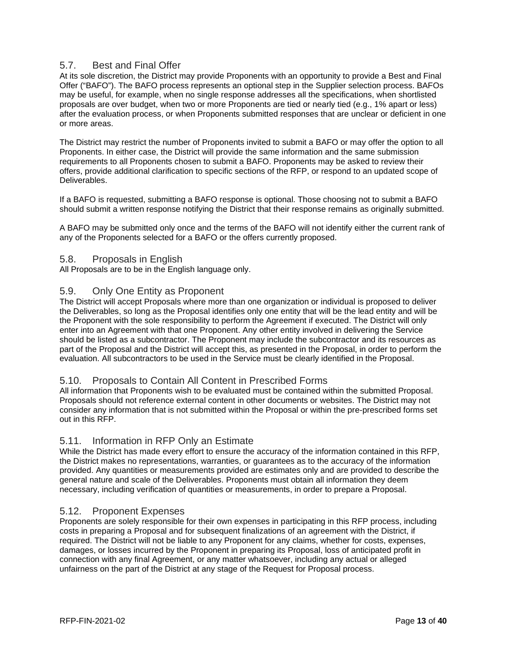### <span id="page-13-0"></span>5.7. Best and Final Offer

At its sole discretion, the District may provide Proponents with an opportunity to provide a Best and Final Offer ("BAFO"). The BAFO process represents an optional step in the Supplier selection process. BAFOs may be useful, for example, when no single response addresses all the specifications, when shortlisted proposals are over budget, when two or more Proponents are tied or nearly tied (e.g., 1% apart or less) after the evaluation process, or when Proponents submitted responses that are unclear or deficient in one or more areas.

The District may restrict the number of Proponents invited to submit a BAFO or may offer the option to all Proponents. In either case, the District will provide the same information and the same submission requirements to all Proponents chosen to submit a BAFO. Proponents may be asked to review their offers, provide additional clarification to specific sections of the RFP, or respond to an updated scope of Deliverables.

If a BAFO is requested, submitting a BAFO response is optional. Those choosing not to submit a BAFO should submit a written response notifying the District that their response remains as originally submitted.

A BAFO may be submitted only once and the terms of the BAFO will not identify either the current rank of any of the Proponents selected for a BAFO or the offers currently proposed.

#### <span id="page-13-1"></span>5.8. Proposals in English

All Proposals are to be in the English language only.

#### <span id="page-13-2"></span>5.9. Only One Entity as Proponent

The District will accept Proposals where more than one organization or individual is proposed to deliver the Deliverables, so long as the Proposal identifies only one entity that will be the lead entity and will be the Proponent with the sole responsibility to perform the Agreement if executed. The District will only enter into an Agreement with that one Proponent. Any other entity involved in delivering the Service should be listed as a subcontractor. The Proponent may include the subcontractor and its resources as part of the Proposal and the District will accept this, as presented in the Proposal, in order to perform the evaluation. All subcontractors to be used in the Service must be clearly identified in the Proposal.

#### <span id="page-13-3"></span>5.10. Proposals to Contain All Content in Prescribed Forms

All information that Proponents wish to be evaluated must be contained within the submitted Proposal. Proposals should not reference external content in other documents or websites. The District may not consider any information that is not submitted within the Proposal or within the pre-prescribed forms set out in this RFP.

#### <span id="page-13-4"></span>5.11. Information in RFP Only an Estimate

While the District has made every effort to ensure the accuracy of the information contained in this RFP, the District makes no representations, warranties, or guarantees as to the accuracy of the information provided. Any quantities or measurements provided are estimates only and are provided to describe the general nature and scale of the Deliverables. Proponents must obtain all information they deem necessary, including verification of quantities or measurements, in order to prepare a Proposal.

#### <span id="page-13-5"></span>5.12. Proponent Expenses

Proponents are solely responsible for their own expenses in participating in this RFP process, including costs in preparing a Proposal and for subsequent finalizations of an agreement with the District, if required. The District will not be liable to any Proponent for any claims, whether for costs, expenses, damages, or losses incurred by the Proponent in preparing its Proposal, loss of anticipated profit in connection with any final Agreement, or any matter whatsoever, including any actual or alleged unfairness on the part of the District at any stage of the Request for Proposal process.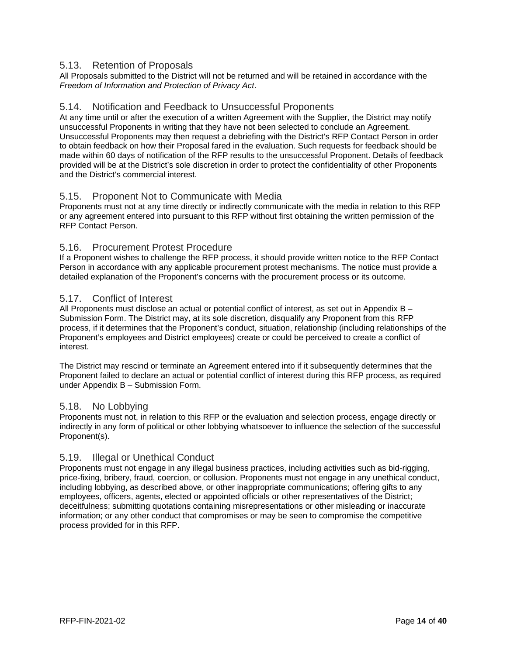### <span id="page-14-0"></span>5.13. Retention of Proposals

All Proposals submitted to the District will not be returned and will be retained in accordance with the *Freedom of Information and Protection of Privacy Act*.

#### <span id="page-14-1"></span>5.14. Notification and Feedback to Unsuccessful Proponents

At any time until or after the execution of a written Agreement with the Supplier, the District may notify unsuccessful Proponents in writing that they have not been selected to conclude an Agreement. Unsuccessful Proponents may then request a debriefing with the District's RFP Contact Person in order to obtain feedback on how their Proposal fared in the evaluation. Such requests for feedback should be made within 60 days of notification of the RFP results to the unsuccessful Proponent. Details of feedback provided will be at the District's sole discretion in order to protect the confidentiality of other Proponents and the District's commercial interest.

#### <span id="page-14-2"></span>5.15. Proponent Not to Communicate with Media

Proponents must not at any time directly or indirectly communicate with the media in relation to this RFP or any agreement entered into pursuant to this RFP without first obtaining the written permission of the RFP Contact Person.

#### <span id="page-14-3"></span>5.16. Procurement Protest Procedure

If a Proponent wishes to challenge the RFP process, it should provide written notice to the RFP Contact Person in accordance with any applicable procurement protest mechanisms. The notice must provide a detailed explanation of the Proponent's concerns with the procurement process or its outcome.

#### <span id="page-14-4"></span>5.17. Conflict of Interest

All Proponents must disclose an actual or potential conflict of interest, as set out in Appendix B -Submission Form. The District may, at its sole discretion, disqualify any Proponent from this RFP process, if it determines that the Proponent's conduct, situation, relationship (including relationships of the Proponent's employees and District employees) create or could be perceived to create a conflict of interest.

The District may rescind or terminate an Agreement entered into if it subsequently determines that the Proponent failed to declare an actual or potential conflict of interest during this RFP process, as required under Appendix B – Submission Form.

#### <span id="page-14-5"></span>5.18. No Lobbying

Proponents must not, in relation to this RFP or the evaluation and selection process, engage directly or indirectly in any form of political or other lobbying whatsoever to influence the selection of the successful Proponent(s).

#### <span id="page-14-6"></span>5.19. Illegal or Unethical Conduct

Proponents must not engage in any illegal business practices, including activities such as bid-rigging, price-fixing, bribery, fraud, coercion, or collusion. Proponents must not engage in any unethical conduct, including lobbying, as described above, or other inappropriate communications; offering gifts to any employees, officers, agents, elected or appointed officials or other representatives of the District; deceitfulness; submitting quotations containing misrepresentations or other misleading or inaccurate information; or any other conduct that compromises or may be seen to compromise the competitive process provided for in this RFP.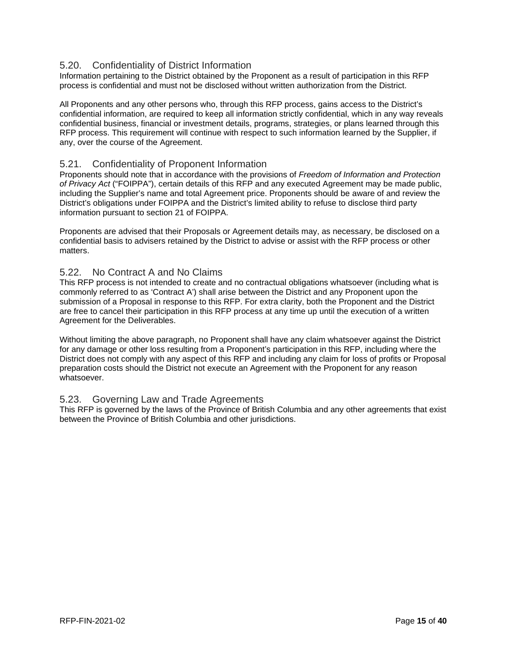## <span id="page-15-0"></span>5.20. Confidentiality of District Information

Information pertaining to the District obtained by the Proponent as a result of participation in this RFP process is confidential and must not be disclosed without written authorization from the District.

All Proponents and any other persons who, through this RFP process, gains access to the District's confidential information, are required to keep all information strictly confidential, which in any way reveals confidential business, financial or investment details, programs, strategies, or plans learned through this RFP process. This requirement will continue with respect to such information learned by the Supplier, if any, over the course of the Agreement.

#### <span id="page-15-1"></span>5.21. Confidentiality of Proponent Information

Proponents should note that in accordance with the provisions of *Freedom of Information and Protection of Privacy Act* ("FOIPPA"), certain details of this RFP and any executed Agreement may be made public, including the Supplier's name and total Agreement price. Proponents should be aware of and review the District's obligations under FOIPPA and the District's limited ability to refuse to disclose third party information pursuant to section 21 of FOIPPA.

Proponents are advised that their Proposals or Agreement details may, as necessary, be disclosed on a confidential basis to advisers retained by the District to advise or assist with the RFP process or other matters.

### <span id="page-15-2"></span>5.22. No Contract A and No Claims

This RFP process is not intended to create and no contractual obligations whatsoever (including what is commonly referred to as 'Contract A') shall arise between the District and any Proponent upon the submission of a Proposal in response to this RFP. For extra clarity, both the Proponent and the District are free to cancel their participation in this RFP process at any time up until the execution of a written Agreement for the Deliverables.

Without limiting the above paragraph, no Proponent shall have any claim whatsoever against the District for any damage or other loss resulting from a Proponent's participation in this RFP, including where the District does not comply with any aspect of this RFP and including any claim for loss of profits or Proposal preparation costs should the District not execute an Agreement with the Proponent for any reason whatsoever.

#### <span id="page-15-3"></span>5.23. Governing Law and Trade Agreements

This RFP is governed by the laws of the Province of British Columbia and any other agreements that exist between the Province of British Columbia and other jurisdictions.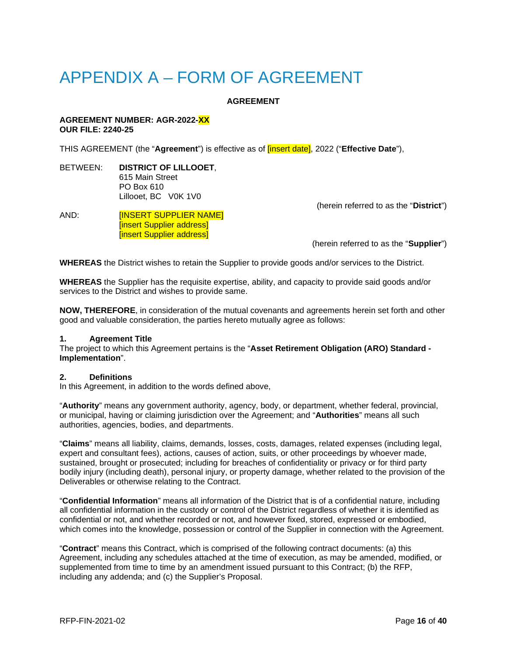# <span id="page-16-0"></span>APPENDIX A – FORM OF AGREEMENT

#### **AGREEMENT**

#### **AGREEMENT NUMBER: AGR-2022-XX OUR FILE: 2240-25**

THIS AGREEMENT (the "**Agreement**") is effective as of [insert date], 2022 ("**Effective Date**"),

BETWEEN: **DISTRICT OF LILLOOET**, 615 Main Street PO Box 610 Lillooet, BC V0K 1V0

#### AND: **IINSERT SUPPLIER NAME** [insert Supplier address] [insert Supplier address]

(herein referred to as the "**District**")

(herein referred to as the "**Supplier**")

**WHEREAS** the District wishes to retain the Supplier to provide goods and/or services to the District.

**WHEREAS** the Supplier has the requisite expertise, ability, and capacity to provide said goods and/or services to the District and wishes to provide same.

**NOW, THEREFORE**, in consideration of the mutual covenants and agreements herein set forth and other good and valuable consideration, the parties hereto mutually agree as follows:

#### **1. Agreement Title**

The project to which this Agreement pertains is the "**Asset Retirement Obligation (ARO) Standard - Implementation**".

#### **2. Definitions**

In this Agreement, in addition to the words defined above,

"**Authority**" means any government authority, agency, body, or department, whether federal, provincial, or municipal, having or claiming jurisdiction over the Agreement; and "**Authorities**" means all such authorities, agencies, bodies, and departments.

"**Claims**" means all liability, claims, demands, losses, costs, damages, related expenses (including legal, expert and consultant fees), actions, causes of action, suits, or other proceedings by whoever made, sustained, brought or prosecuted; including for breaches of confidentiality or privacy or for third party bodily injury (including death), personal injury, or property damage, whether related to the provision of the Deliverables or otherwise relating to the Contract.

"**Confidential Information**" means all information of the District that is of a confidential nature, including all confidential information in the custody or control of the District regardless of whether it is identified as confidential or not, and whether recorded or not, and however fixed, stored, expressed or embodied, which comes into the knowledge, possession or control of the Supplier in connection with the Agreement.

"**Contract**" means this Contract, which is comprised of the following contract documents: (a) this Agreement, including any schedules attached at the time of execution, as may be amended, modified, or supplemented from time to time by an amendment issued pursuant to this Contract; (b) the RFP, including any addenda; and (c) the Supplier's Proposal.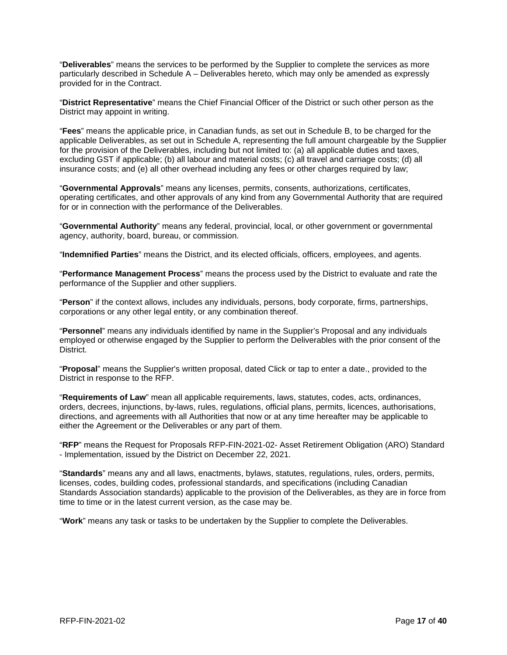"**Deliverables**" means the services to be performed by the Supplier to complete the services as more particularly described in Schedule A – Deliverables hereto, which may only be amended as expressly provided for in the Contract.

"**District Representative**" means the Chief Financial Officer of the District or such other person as the District may appoint in writing.

"**Fees**" means the applicable price, in Canadian funds, as set out in Schedule B, to be charged for the applicable Deliverables, as set out in Schedule A, representing the full amount chargeable by the Supplier for the provision of the Deliverables, including but not limited to: (a) all applicable duties and taxes, excluding GST if applicable; (b) all labour and material costs; (c) all travel and carriage costs; (d) all insurance costs; and (e) all other overhead including any fees or other charges required by law;

"**Governmental Approvals**" means any licenses, permits, consents, authorizations, certificates, operating certificates, and other approvals of any kind from any Governmental Authority that are required for or in connection with the performance of the Deliverables.

"**Governmental Authority**" means any federal, provincial, local, or other government or governmental agency, authority, board, bureau, or commission.

"**Indemnified Parties**" means the District, and its elected officials, officers, employees, and agents.

"**Performance Management Process**" means the process used by the District to evaluate and rate the performance of the Supplier and other suppliers.

"**Person**" if the context allows, includes any individuals, persons, body corporate, firms, partnerships, corporations or any other legal entity, or any combination thereof.

"**Personnel**" means any individuals identified by name in the Supplier's Proposal and any individuals employed or otherwise engaged by the Supplier to perform the Deliverables with the prior consent of the District.

"**Proposal**" means the Supplier's written proposal, dated Click or tap to enter a date., provided to the District in response to the RFP.

"**Requirements of Law**" mean all applicable requirements, laws, statutes, codes, acts, ordinances, orders, decrees, injunctions, by-laws, rules, regulations, official plans, permits, licences, authorisations, directions, and agreements with all Authorities that now or at any time hereafter may be applicable to either the Agreement or the Deliverables or any part of them.

"**RFP**" means the Request for Proposals RFP-FIN-2021-02- Asset Retirement Obligation (ARO) Standard - Implementation, issued by the District on December 22, 2021.

"**Standards**" means any and all laws, enactments, bylaws, statutes, regulations, rules, orders, permits, licenses, codes, building codes, professional standards, and specifications (including Canadian Standards Association standards) applicable to the provision of the Deliverables, as they are in force from time to time or in the latest current version, as the case may be.

"**Work**" means any task or tasks to be undertaken by the Supplier to complete the Deliverables.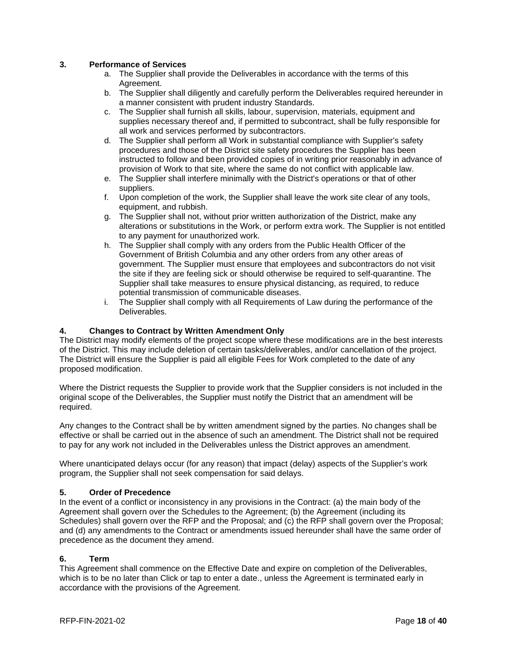#### **3. Performance of Services**

- a. The Supplier shall provide the Deliverables in accordance with the terms of this Agreement.
- b. The Supplier shall diligently and carefully perform the Deliverables required hereunder in a manner consistent with prudent industry Standards.
- c. The Supplier shall furnish all skills, labour, supervision, materials, equipment and supplies necessary thereof and, if permitted to subcontract, shall be fully responsible for all work and services performed by subcontractors.
- d. The Supplier shall perform all Work in substantial compliance with Supplier's safety procedures and those of the District site safety procedures the Supplier has been instructed to follow and been provided copies of in writing prior reasonably in advance of provision of Work to that site, where the same do not conflict with applicable law.
- e. The Supplier shall interfere minimally with the District's operations or that of other suppliers.
- f. Upon completion of the work, the Supplier shall leave the work site clear of any tools, equipment, and rubbish.
- g. The Supplier shall not, without prior written authorization of the District, make any alterations or substitutions in the Work, or perform extra work. The Supplier is not entitled to any payment for unauthorized work.
- h. The Supplier shall comply with any orders from the Public Health Officer of the Government of British Columbia and any other orders from any other areas of government. The Supplier must ensure that employees and subcontractors do not visit the site if they are feeling sick or should otherwise be required to self-quarantine. The Supplier shall take measures to ensure physical distancing, as required, to reduce potential transmission of communicable diseases.
- i. The Supplier shall comply with all Requirements of Law during the performance of the Deliverables.

#### **4. Changes to Contract by Written Amendment Only**

The District may modify elements of the project scope where these modifications are in the best interests of the District. This may include deletion of certain tasks/deliverables, and/or cancellation of the project. The District will ensure the Supplier is paid all eligible Fees for Work completed to the date of any proposed modification.

Where the District requests the Supplier to provide work that the Supplier considers is not included in the original scope of the Deliverables, the Supplier must notify the District that an amendment will be required.

Any changes to the Contract shall be by written amendment signed by the parties. No changes shall be effective or shall be carried out in the absence of such an amendment. The District shall not be required to pay for any work not included in the Deliverables unless the District approves an amendment.

Where unanticipated delays occur (for any reason) that impact (delay) aspects of the Supplier's work program, the Supplier shall not seek compensation for said delays.

#### **5. Order of Precedence**

In the event of a conflict or inconsistency in any provisions in the Contract: (a) the main body of the Agreement shall govern over the Schedules to the Agreement; (b) the Agreement (including its Schedules) shall govern over the RFP and the Proposal; and (c) the RFP shall govern over the Proposal; and (d) any amendments to the Contract or amendments issued hereunder shall have the same order of precedence as the document they amend.

#### **6. Term**

This Agreement shall commence on the Effective Date and expire on completion of the Deliverables, which is to be no later than Click or tap to enter a date., unless the Agreement is terminated early in accordance with the provisions of the Agreement.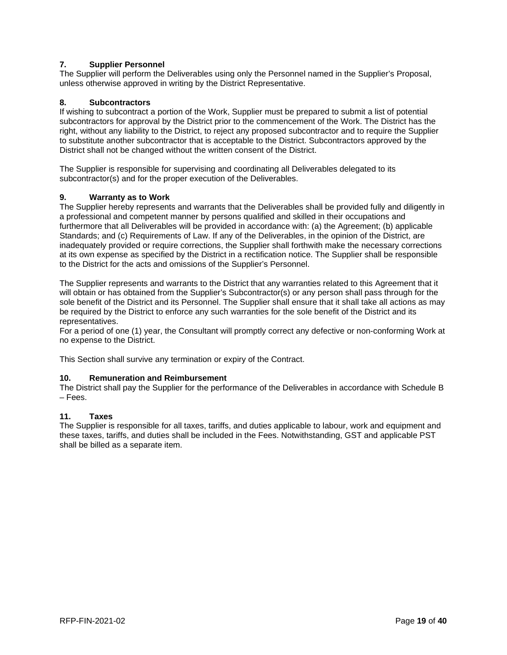#### **7. Supplier Personnel**

The Supplier will perform the Deliverables using only the Personnel named in the Supplier's Proposal, unless otherwise approved in writing by the District Representative.

#### **8. Subcontractors**

If wishing to subcontract a portion of the Work, Supplier must be prepared to submit a list of potential subcontractors for approval by the District prior to the commencement of the Work. The District has the right, without any liability to the District, to reject any proposed subcontractor and to require the Supplier to substitute another subcontractor that is acceptable to the District. Subcontractors approved by the District shall not be changed without the written consent of the District.

The Supplier is responsible for supervising and coordinating all Deliverables delegated to its subcontractor(s) and for the proper execution of the Deliverables.

#### **9. Warranty as to Work**

The Supplier hereby represents and warrants that the Deliverables shall be provided fully and diligently in a professional and competent manner by persons qualified and skilled in their occupations and furthermore that all Deliverables will be provided in accordance with: (a) the Agreement; (b) applicable Standards; and (c) Requirements of Law. If any of the Deliverables, in the opinion of the District, are inadequately provided or require corrections, the Supplier shall forthwith make the necessary corrections at its own expense as specified by the District in a rectification notice. The Supplier shall be responsible to the District for the acts and omissions of the Supplier's Personnel.

The Supplier represents and warrants to the District that any warranties related to this Agreement that it will obtain or has obtained from the Supplier's Subcontractor(s) or any person shall pass through for the sole benefit of the District and its Personnel. The Supplier shall ensure that it shall take all actions as may be required by the District to enforce any such warranties for the sole benefit of the District and its representatives.

For a period of one (1) year, the Consultant will promptly correct any defective or non-conforming Work at no expense to the District.

This Section shall survive any termination or expiry of the Contract.

#### **10. Remuneration and Reimbursement**

The District shall pay the Supplier for the performance of the Deliverables in accordance with Schedule B – Fees.

#### **11. Taxes**

The Supplier is responsible for all taxes, tariffs, and duties applicable to labour, work and equipment and these taxes, tariffs, and duties shall be included in the Fees. Notwithstanding, GST and applicable PST shall be billed as a separate item.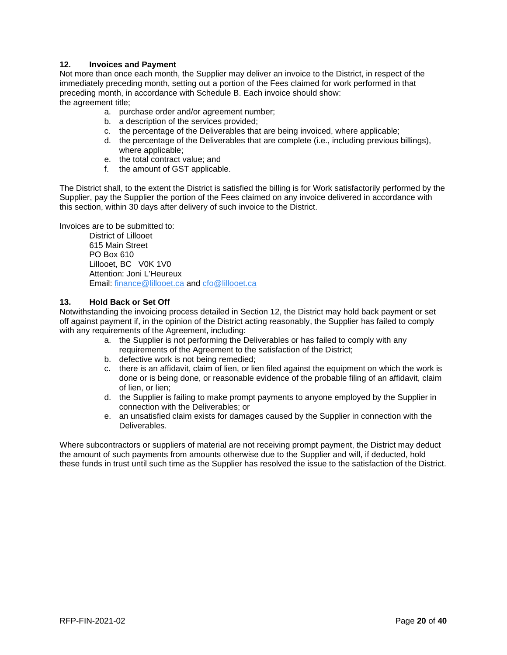#### **12. Invoices and Payment**

Not more than once each month, the Supplier may deliver an invoice to the District, in respect of the immediately preceding month, setting out a portion of the Fees claimed for work performed in that preceding month, in accordance with Schedule B. Each invoice should show: the agreement title;

- a. purchase order and/or agreement number;
- b. a description of the services provided;
- c. the percentage of the Deliverables that are being invoiced, where applicable;
- d. the percentage of the Deliverables that are complete (i.e., including previous billings), where applicable;
- e. the total contract value; and
- f. the amount of GST applicable.

The District shall, to the extent the District is satisfied the billing is for Work satisfactorily performed by the Supplier, pay the Supplier the portion of the Fees claimed on any invoice delivered in accordance with this section, within 30 days after delivery of such invoice to the District.

Invoices are to be submitted to:

District of Lillooet 615 Main Street PO Box 610 Lillooet, BC V0K 1V0 Attention: Joni L'Heureux Email: [finance@lillooet.ca](mailto:finance@lillooet.ca) and [cfo@lillooet.ca](mailto:cfo@lillooet.ca)

#### **13. Hold Back or Set Off**

Notwithstanding the invoicing process detailed in Section 12, the District may hold back payment or set off against payment if, in the opinion of the District acting reasonably, the Supplier has failed to comply with any requirements of the Agreement, including:

- a. the Supplier is not performing the Deliverables or has failed to comply with any requirements of the Agreement to the satisfaction of the District;
- b. defective work is not being remedied;
- c. there is an affidavit, claim of lien, or lien filed against the equipment on which the work is done or is being done, or reasonable evidence of the probable filing of an affidavit, claim of lien, or lien;
- d. the Supplier is failing to make prompt payments to anyone employed by the Supplier in connection with the Deliverables; or
- e. an unsatisfied claim exists for damages caused by the Supplier in connection with the Deliverables.

Where subcontractors or suppliers of material are not receiving prompt payment, the District may deduct the amount of such payments from amounts otherwise due to the Supplier and will, if deducted, hold these funds in trust until such time as the Supplier has resolved the issue to the satisfaction of the District.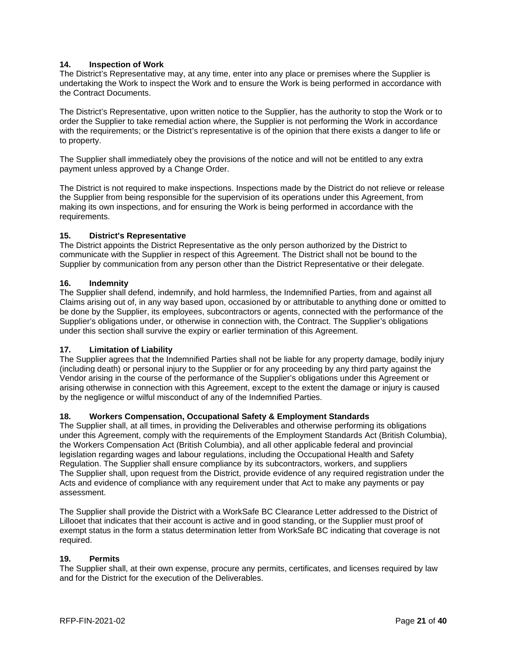#### **14. Inspection of Work**

The District's Representative may, at any time, enter into any place or premises where the Supplier is undertaking the Work to inspect the Work and to ensure the Work is being performed in accordance with the Contract Documents.

The District's Representative, upon written notice to the Supplier, has the authority to stop the Work or to order the Supplier to take remedial action where, the Supplier is not performing the Work in accordance with the requirements; or the District's representative is of the opinion that there exists a danger to life or to property.

The Supplier shall immediately obey the provisions of the notice and will not be entitled to any extra payment unless approved by a Change Order.

The District is not required to make inspections. Inspections made by the District do not relieve or release the Supplier from being responsible for the supervision of its operations under this Agreement, from making its own inspections, and for ensuring the Work is being performed in accordance with the requirements.

#### **15. District's Representative**

The District appoints the District Representative as the only person authorized by the District to communicate with the Supplier in respect of this Agreement. The District shall not be bound to the Supplier by communication from any person other than the District Representative or their delegate.

#### **16. Indemnity**

The Supplier shall defend, indemnify, and hold harmless, the Indemnified Parties, from and against all Claims arising out of, in any way based upon, occasioned by or attributable to anything done or omitted to be done by the Supplier, its employees, subcontractors or agents, connected with the performance of the Supplier's obligations under, or otherwise in connection with, the Contract. The Supplier's obligations under this section shall survive the expiry or earlier termination of this Agreement.

#### **17. Limitation of Liability**

The Supplier agrees that the Indemnified Parties shall not be liable for any property damage, bodily injury (including death) or personal injury to the Supplier or for any proceeding by any third party against the Vendor arising in the course of the performance of the Supplier's obligations under this Agreement or arising otherwise in connection with this Agreement, except to the extent the damage or injury is caused by the negligence or wilful misconduct of any of the Indemnified Parties.

#### **18. Workers Compensation, Occupational Safety & Employment Standards**

The Supplier shall, at all times, in providing the Deliverables and otherwise performing its obligations under this Agreement, comply with the requirements of the Employment Standards Act (British Columbia), the Workers Compensation Act (British Columbia), and all other applicable federal and provincial legislation regarding wages and labour regulations, including the Occupational Health and Safety Regulation. The Supplier shall ensure compliance by its subcontractors, workers, and suppliers The Supplier shall, upon request from the District, provide evidence of any required registration under the Acts and evidence of compliance with any requirement under that Act to make any payments or pay assessment.

The Supplier shall provide the District with a WorkSafe BC Clearance Letter addressed to the District of Lillooet that indicates that their account is active and in good standing, or the Supplier must proof of exempt status in the form a status determination letter from WorkSafe BC indicating that coverage is not required.

#### **19. Permits**

The Supplier shall, at their own expense, procure any permits, certificates, and licenses required by law and for the District for the execution of the Deliverables.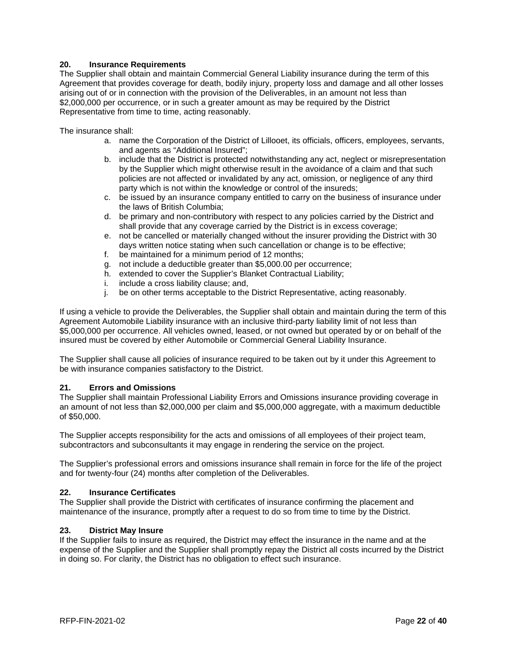#### **20. Insurance Requirements**

The Supplier shall obtain and maintain Commercial General Liability insurance during the term of this Agreement that provides coverage for death, bodily injury, property loss and damage and all other losses arising out of or in connection with the provision of the Deliverables, in an amount not less than \$2,000,000 per occurrence, or in such a greater amount as may be required by the District Representative from time to time, acting reasonably.

The insurance shall:

- a. name the Corporation of the District of Lillooet, its officials, officers, employees, servants, and agents as "Additional Insured";
- b. include that the District is protected notwithstanding any act, neglect or misrepresentation by the Supplier which might otherwise result in the avoidance of a claim and that such policies are not affected or invalidated by any act, omission, or negligence of any third party which is not within the knowledge or control of the insureds:
- c. be issued by an insurance company entitled to carry on the business of insurance under the laws of British Columbia;
- d. be primary and non-contributory with respect to any policies carried by the District and shall provide that any coverage carried by the District is in excess coverage;
- e. not be cancelled or materially changed without the insurer providing the District with 30 days written notice stating when such cancellation or change is to be effective;
- f. be maintained for a minimum period of 12 months;
- g. not include a deductible greater than \$5,000.00 per occurrence;
- h. extended to cover the Supplier's Blanket Contractual Liability;
- i. include a cross liability clause; and,
- j. be on other terms acceptable to the District Representative, acting reasonably.

If using a vehicle to provide the Deliverables, the Supplier shall obtain and maintain during the term of this Agreement Automobile Liability insurance with an inclusive third-party liability limit of not less than \$5,000,000 per occurrence. All vehicles owned, leased, or not owned but operated by or on behalf of the insured must be covered by either Automobile or Commercial General Liability Insurance.

The Supplier shall cause all policies of insurance required to be taken out by it under this Agreement to be with insurance companies satisfactory to the District.

#### **21. Errors and Omissions**

The Supplier shall maintain Professional Liability Errors and Omissions insurance providing coverage in an amount of not less than \$2,000,000 per claim and \$5,000,000 aggregate, with a maximum deductible of \$50,000.

The Supplier accepts responsibility for the acts and omissions of all employees of their project team, subcontractors and subconsultants it may engage in rendering the service on the project.

The Supplier's professional errors and omissions insurance shall remain in force for the life of the project and for twenty-four (24) months after completion of the Deliverables.

#### **22. Insurance Certificates**

The Supplier shall provide the District with certificates of insurance confirming the placement and maintenance of the insurance, promptly after a request to do so from time to time by the District.

#### **23. District May Insure**

If the Supplier fails to insure as required, the District may effect the insurance in the name and at the expense of the Supplier and the Supplier shall promptly repay the District all costs incurred by the District in doing so. For clarity, the District has no obligation to effect such insurance.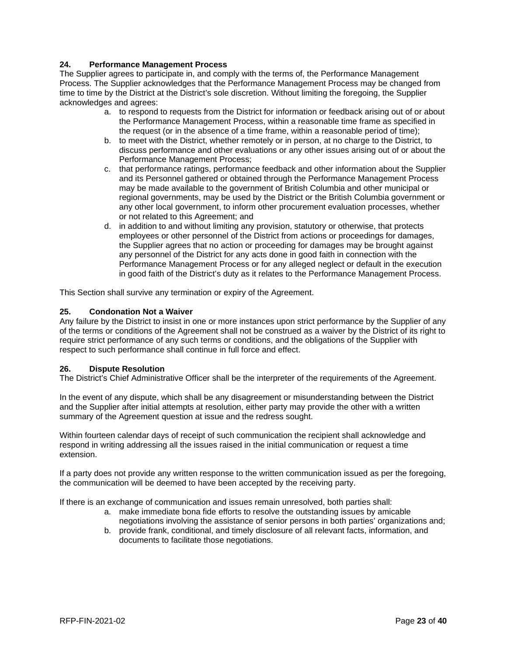#### **24. Performance Management Process**

The Supplier agrees to participate in, and comply with the terms of, the Performance Management Process. The Supplier acknowledges that the Performance Management Process may be changed from time to time by the District at the District's sole discretion. Without limiting the foregoing, the Supplier acknowledges and agrees:

- a. to respond to requests from the District for information or feedback arising out of or about the Performance Management Process, within a reasonable time frame as specified in the request (or in the absence of a time frame, within a reasonable period of time);
- b. to meet with the District, whether remotely or in person, at no charge to the District, to discuss performance and other evaluations or any other issues arising out of or about the Performance Management Process;
- c. that performance ratings, performance feedback and other information about the Supplier and its Personnel gathered or obtained through the Performance Management Process may be made available to the government of British Columbia and other municipal or regional governments, may be used by the District or the British Columbia government or any other local government, to inform other procurement evaluation processes, whether or not related to this Agreement; and
- d. in addition to and without limiting any provision, statutory or otherwise, that protects employees or other personnel of the District from actions or proceedings for damages, the Supplier agrees that no action or proceeding for damages may be brought against any personnel of the District for any acts done in good faith in connection with the Performance Management Process or for any alleged neglect or default in the execution in good faith of the District's duty as it relates to the Performance Management Process.

This Section shall survive any termination or expiry of the Agreement.

#### **25. Condonation Not a Waiver**

Any failure by the District to insist in one or more instances upon strict performance by the Supplier of any of the terms or conditions of the Agreement shall not be construed as a waiver by the District of its right to require strict performance of any such terms or conditions, and the obligations of the Supplier with respect to such performance shall continue in full force and effect.

#### **26. Dispute Resolution**

The District's Chief Administrative Officer shall be the interpreter of the requirements of the Agreement.

In the event of any dispute, which shall be any disagreement or misunderstanding between the District and the Supplier after initial attempts at resolution, either party may provide the other with a written summary of the Agreement question at issue and the redress sought.

Within fourteen calendar days of receipt of such communication the recipient shall acknowledge and respond in writing addressing all the issues raised in the initial communication or request a time extension.

If a party does not provide any written response to the written communication issued as per the foregoing, the communication will be deemed to have been accepted by the receiving party.

If there is an exchange of communication and issues remain unresolved, both parties shall:

- a. make immediate bona fide efforts to resolve the outstanding issues by amicable negotiations involving the assistance of senior persons in both parties' organizations and;
- b. provide frank, conditional, and timely disclosure of all relevant facts, information, and documents to facilitate those negotiations.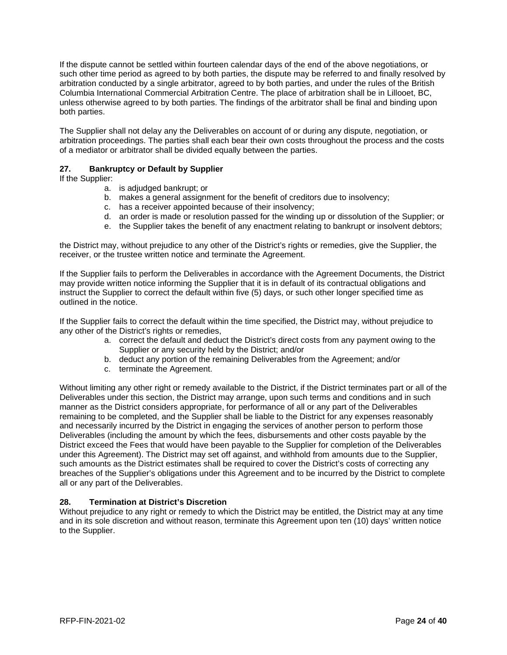If the dispute cannot be settled within fourteen calendar days of the end of the above negotiations, or such other time period as agreed to by both parties, the dispute may be referred to and finally resolved by arbitration conducted by a single arbitrator, agreed to by both parties, and under the rules of the British Columbia International Commercial Arbitration Centre. The place of arbitration shall be in Lillooet, BC, unless otherwise agreed to by both parties. The findings of the arbitrator shall be final and binding upon both parties.

The Supplier shall not delay any the Deliverables on account of or during any dispute, negotiation, or arbitration proceedings. The parties shall each bear their own costs throughout the process and the costs of a mediator or arbitrator shall be divided equally between the parties.

#### **27. Bankruptcy or Default by Supplier**

If the Supplier:

- a. is adjudged bankrupt; or
- b. makes a general assignment for the benefit of creditors due to insolvency;
- c. has a receiver appointed because of their insolvency;
- d. an order is made or resolution passed for the winding up or dissolution of the Supplier; or
- e. the Supplier takes the benefit of any enactment relating to bankrupt or insolvent debtors;

the District may, without prejudice to any other of the District's rights or remedies, give the Supplier, the receiver, or the trustee written notice and terminate the Agreement.

If the Supplier fails to perform the Deliverables in accordance with the Agreement Documents, the District may provide written notice informing the Supplier that it is in default of its contractual obligations and instruct the Supplier to correct the default within five (5) days, or such other longer specified time as outlined in the notice.

If the Supplier fails to correct the default within the time specified, the District may, without prejudice to any other of the District's rights or remedies,

- a. correct the default and deduct the District's direct costs from any payment owing to the Supplier or any security held by the District; and/or
- b. deduct any portion of the remaining Deliverables from the Agreement; and/or
- c. terminate the Agreement.

Without limiting any other right or remedy available to the District, if the District terminates part or all of the Deliverables under this section, the District may arrange, upon such terms and conditions and in such manner as the District considers appropriate, for performance of all or any part of the Deliverables remaining to be completed, and the Supplier shall be liable to the District for any expenses reasonably and necessarily incurred by the District in engaging the services of another person to perform those Deliverables (including the amount by which the fees, disbursements and other costs payable by the District exceed the Fees that would have been payable to the Supplier for completion of the Deliverables under this Agreement). The District may set off against, and withhold from amounts due to the Supplier, such amounts as the District estimates shall be required to cover the District's costs of correcting any breaches of the Supplier's obligations under this Agreement and to be incurred by the District to complete all or any part of the Deliverables.

#### **28. Termination at District's Discretion**

Without prejudice to any right or remedy to which the District may be entitled, the District may at any time and in its sole discretion and without reason, terminate this Agreement upon ten (10) days' written notice to the Supplier.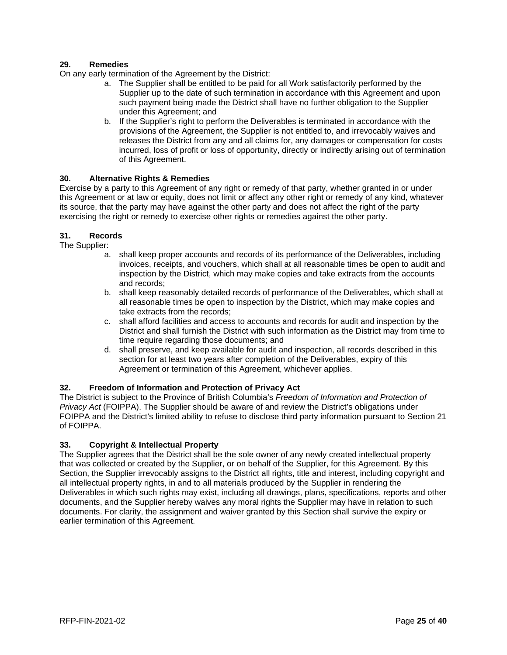#### **29. Remedies**

On any early termination of the Agreement by the District:

- a. The Supplier shall be entitled to be paid for all Work satisfactorily performed by the Supplier up to the date of such termination in accordance with this Agreement and upon such payment being made the District shall have no further obligation to the Supplier under this Agreement; and
- b. If the Supplier's right to perform the Deliverables is terminated in accordance with the provisions of the Agreement, the Supplier is not entitled to, and irrevocably waives and releases the District from any and all claims for, any damages or compensation for costs incurred, loss of profit or loss of opportunity, directly or indirectly arising out of termination of this Agreement.

#### **30. Alternative Rights & Remedies**

Exercise by a party to this Agreement of any right or remedy of that party, whether granted in or under this Agreement or at law or equity, does not limit or affect any other right or remedy of any kind, whatever its source, that the party may have against the other party and does not affect the right of the party exercising the right or remedy to exercise other rights or remedies against the other party.

#### **31. Records**

The Supplier:

- a. shall keep proper accounts and records of its performance of the Deliverables, including invoices, receipts, and vouchers, which shall at all reasonable times be open to audit and inspection by the District, which may make copies and take extracts from the accounts and records;
- b. shall keep reasonably detailed records of performance of the Deliverables, which shall at all reasonable times be open to inspection by the District, which may make copies and take extracts from the records;
- c. shall afford facilities and access to accounts and records for audit and inspection by the District and shall furnish the District with such information as the District may from time to time require regarding those documents; and
- d. shall preserve, and keep available for audit and inspection, all records described in this section for at least two years after completion of the Deliverables, expiry of this Agreement or termination of this Agreement, whichever applies.

#### **32. Freedom of Information and Protection of Privacy Act**

The District is subject to the Province of British Columbia's *Freedom of Information and Protection of Privacy Act* (FOIPPA). The Supplier should be aware of and review the District's obligations under FOIPPA and the District's limited ability to refuse to disclose third party information pursuant to Section 21 of FOIPPA.

#### **33. Copyright & Intellectual Property**

The Supplier agrees that the District shall be the sole owner of any newly created intellectual property that was collected or created by the Supplier, or on behalf of the Supplier, for this Agreement. By this Section, the Supplier irrevocably assigns to the District all rights, title and interest, including copyright and all intellectual property rights, in and to all materials produced by the Supplier in rendering the Deliverables in which such rights may exist, including all drawings, plans, specifications, reports and other documents, and the Supplier hereby waives any moral rights the Supplier may have in relation to such documents. For clarity, the assignment and waiver granted by this Section shall survive the expiry or earlier termination of this Agreement.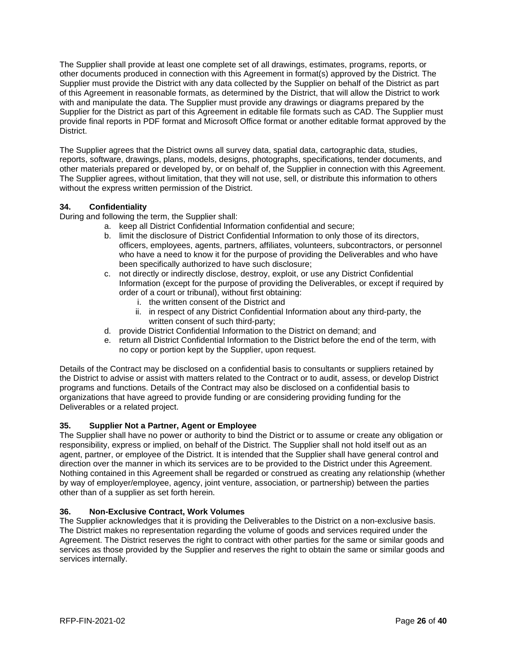The Supplier shall provide at least one complete set of all drawings, estimates, programs, reports, or other documents produced in connection with this Agreement in format(s) approved by the District. The Supplier must provide the District with any data collected by the Supplier on behalf of the District as part of this Agreement in reasonable formats, as determined by the District, that will allow the District to work with and manipulate the data. The Supplier must provide any drawings or diagrams prepared by the Supplier for the District as part of this Agreement in editable file formats such as CAD. The Supplier must provide final reports in PDF format and Microsoft Office format or another editable format approved by the District.

The Supplier agrees that the District owns all survey data, spatial data, cartographic data, studies, reports, software, drawings, plans, models, designs, photographs, specifications, tender documents, and other materials prepared or developed by, or on behalf of, the Supplier in connection with this Agreement. The Supplier agrees, without limitation, that they will not use, sell, or distribute this information to others without the express written permission of the District.

#### **34. Confidentiality**

During and following the term, the Supplier shall:

- a. keep all District Confidential Information confidential and secure;
- b. limit the disclosure of District Confidential Information to only those of its directors, officers, employees, agents, partners, affiliates, volunteers, subcontractors, or personnel who have a need to know it for the purpose of providing the Deliverables and who have been specifically authorized to have such disclosure;
- c. not directly or indirectly disclose, destroy, exploit, or use any District Confidential Information (except for the purpose of providing the Deliverables, or except if required by order of a court or tribunal), without first obtaining:
	- i. the written consent of the District and
	- ii. in respect of any District Confidential Information about any third-party, the written consent of such third-party;
- d. provide District Confidential Information to the District on demand; and
- e. return all District Confidential Information to the District before the end of the term, with no copy or portion kept by the Supplier, upon request.

Details of the Contract may be disclosed on a confidential basis to consultants or suppliers retained by the District to advise or assist with matters related to the Contract or to audit, assess, or develop District programs and functions. Details of the Contract may also be disclosed on a confidential basis to organizations that have agreed to provide funding or are considering providing funding for the Deliverables or a related project.

#### **35. Supplier Not a Partner, Agent or Employee**

The Supplier shall have no power or authority to bind the District or to assume or create any obligation or responsibility, express or implied, on behalf of the District. The Supplier shall not hold itself out as an agent, partner, or employee of the District. It is intended that the Supplier shall have general control and direction over the manner in which its services are to be provided to the District under this Agreement. Nothing contained in this Agreement shall be regarded or construed as creating any relationship (whether by way of employer/employee, agency, joint venture, association, or partnership) between the parties other than of a supplier as set forth herein.

#### **36. Non-Exclusive Contract, Work Volumes**

The Supplier acknowledges that it is providing the Deliverables to the District on a non-exclusive basis. The District makes no representation regarding the volume of goods and services required under the Agreement. The District reserves the right to contract with other parties for the same or similar goods and services as those provided by the Supplier and reserves the right to obtain the same or similar goods and services internally.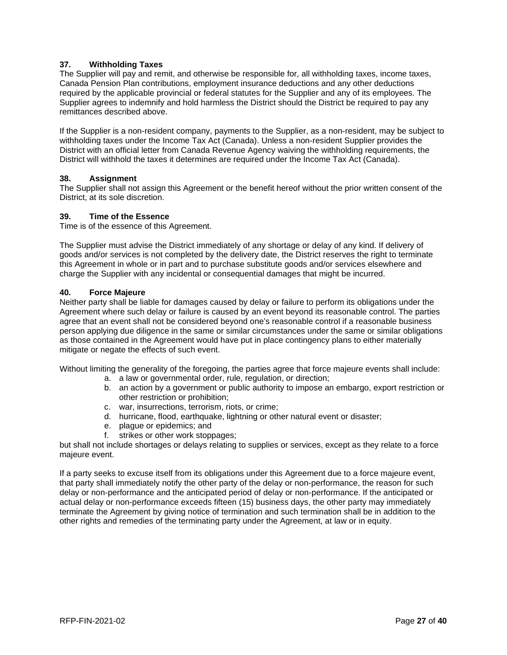#### **37. Withholding Taxes**

The Supplier will pay and remit, and otherwise be responsible for, all withholding taxes, income taxes, Canada Pension Plan contributions, employment insurance deductions and any other deductions required by the applicable provincial or federal statutes for the Supplier and any of its employees. The Supplier agrees to indemnify and hold harmless the District should the District be required to pay any remittances described above.

If the Supplier is a non-resident company, payments to the Supplier, as a non-resident, may be subject to withholding taxes under the Income Tax Act (Canada). Unless a non-resident Supplier provides the District with an official letter from Canada Revenue Agency waiving the withholding requirements, the District will withhold the taxes it determines are required under the Income Tax Act (Canada).

#### **38. Assignment**

The Supplier shall not assign this Agreement or the benefit hereof without the prior written consent of the District, at its sole discretion.

#### **39. Time of the Essence**

Time is of the essence of this Agreement.

The Supplier must advise the District immediately of any shortage or delay of any kind. If delivery of goods and/or services is not completed by the delivery date, the District reserves the right to terminate this Agreement in whole or in part and to purchase substitute goods and/or services elsewhere and charge the Supplier with any incidental or consequential damages that might be incurred.

#### **40. Force Majeure**

Neither party shall be liable for damages caused by delay or failure to perform its obligations under the Agreement where such delay or failure is caused by an event beyond its reasonable control. The parties agree that an event shall not be considered beyond one's reasonable control if a reasonable business person applying due diligence in the same or similar circumstances under the same or similar obligations as those contained in the Agreement would have put in place contingency plans to either materially mitigate or negate the effects of such event.

Without limiting the generality of the foregoing, the parties agree that force majeure events shall include:

- a. a law or governmental order, rule, regulation, or direction;
- b. an action by a government or public authority to impose an embargo, export restriction or other restriction or prohibition;
- c. war, insurrections, terrorism, riots, or crime;
- d. hurricane, flood, earthquake, lightning or other natural event or disaster;
- e. plague or epidemics; and
- f. strikes or other work stoppages;

but shall not include shortages or delays relating to supplies or services, except as they relate to a force majeure event.

If a party seeks to excuse itself from its obligations under this Agreement due to a force majeure event, that party shall immediately notify the other party of the delay or non-performance, the reason for such delay or non-performance and the anticipated period of delay or non-performance. If the anticipated or actual delay or non-performance exceeds fifteen (15) business days, the other party may immediately terminate the Agreement by giving notice of termination and such termination shall be in addition to the other rights and remedies of the terminating party under the Agreement, at law or in equity.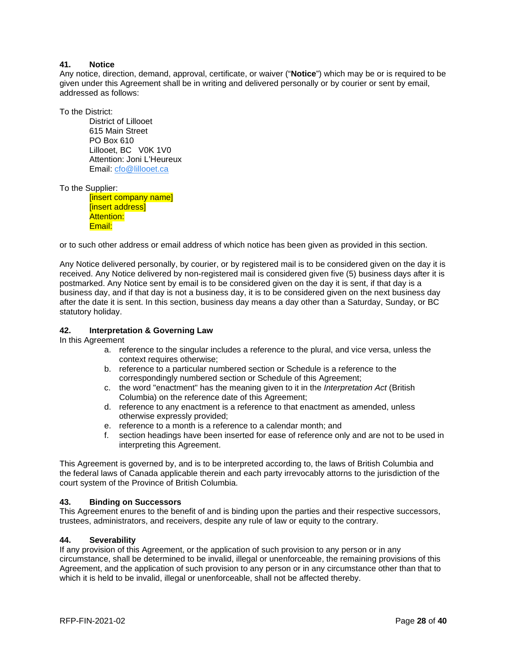#### **41. Notice**

Any notice, direction, demand, approval, certificate, or waiver ("**Notice**") which may be or is required to be given under this Agreement shall be in writing and delivered personally or by courier or sent by email, addressed as follows:

To the District:

District of Lillooet 615 Main Street PO Box 610 Lillooet, BC V0K 1V0 Attention: Joni L'Heureux Email: [cfo@lillooet.ca](mailto:cfo@lillooet.ca)

To the Supplier:

[insert company name] [insert address] Attention: Email:

or to such other address or email address of which notice has been given as provided in this section.

Any Notice delivered personally, by courier, or by registered mail is to be considered given on the day it is received. Any Notice delivered by non-registered mail is considered given five (5) business days after it is postmarked. Any Notice sent by email is to be considered given on the day it is sent, if that day is a business day, and if that day is not a business day, it is to be considered given on the next business day after the date it is sent. In this section, business day means a day other than a Saturday, Sunday, or BC statutory holiday.

#### **42. Interpretation & Governing Law**

In this Agreement

- a. reference to the singular includes a reference to the plural, and vice versa, unless the context requires otherwise;
- b. reference to a particular numbered section or Schedule is a reference to the correspondingly numbered section or Schedule of this Agreement;
- c. the word "enactment" has the meaning given to it in the *Interpretation Act* (British Columbia) on the reference date of this Agreement;
- d. reference to any enactment is a reference to that enactment as amended, unless otherwise expressly provided;
- e. reference to a month is a reference to a calendar month; and
- f. section headings have been inserted for ease of reference only and are not to be used in interpreting this Agreement.

This Agreement is governed by, and is to be interpreted according to, the laws of British Columbia and the federal laws of Canada applicable therein and each party irrevocably attorns to the jurisdiction of the court system of the Province of British Columbia.

#### **43. Binding on Successors**

This Agreement enures to the benefit of and is binding upon the parties and their respective successors, trustees, administrators, and receivers, despite any rule of law or equity to the contrary.

#### **44. Severability**

If any provision of this Agreement, or the application of such provision to any person or in any circumstance, shall be determined to be invalid, illegal or unenforceable, the remaining provisions of this Agreement, and the application of such provision to any person or in any circumstance other than that to which it is held to be invalid, illegal or unenforceable, shall not be affected thereby.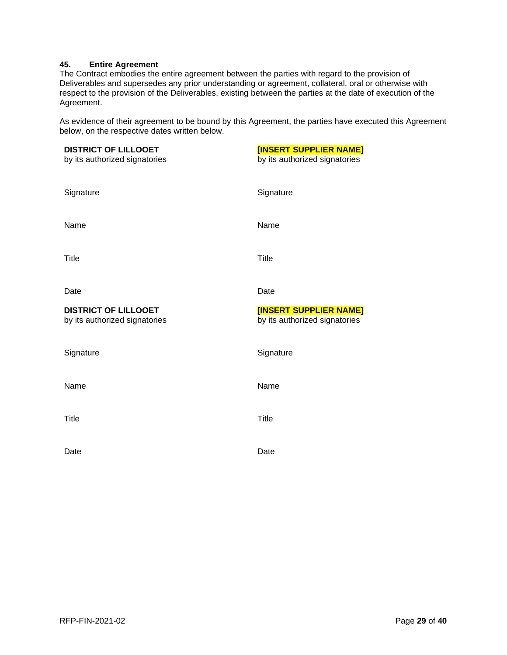#### **45. Entire Agreement**

The Contract embodies the entire agreement between the parties with regard to the provision of Deliverables and supersedes any prior understanding or agreement, collateral, oral or otherwise with respect to the provision of the Deliverables, existing between the parties at the date of execution of the Agreement.

As evidence of their agreement to be bound by this Agreement, the parties have executed this Agreement below, on the respective dates written below.

| <b>DISTRICT OF LILLOOET</b><br>by its authorized signatories | <b>[INSERT SUPPLIER NAME]</b><br>by its authorized signatories |
|--------------------------------------------------------------|----------------------------------------------------------------|
| Signature                                                    | Signature                                                      |
| Name                                                         | Name                                                           |
| <b>Title</b>                                                 | <b>Title</b>                                                   |
| Date                                                         | Date                                                           |
| <b>DISTRICT OF LILLOOET</b><br>by its authorized signatories | <b>[INSERT SUPPLIER NAME]</b>                                  |
|                                                              | by its authorized signatories                                  |
| Signature                                                    | Signature                                                      |
| Name                                                         | Name                                                           |
| <b>Title</b>                                                 | <b>Title</b>                                                   |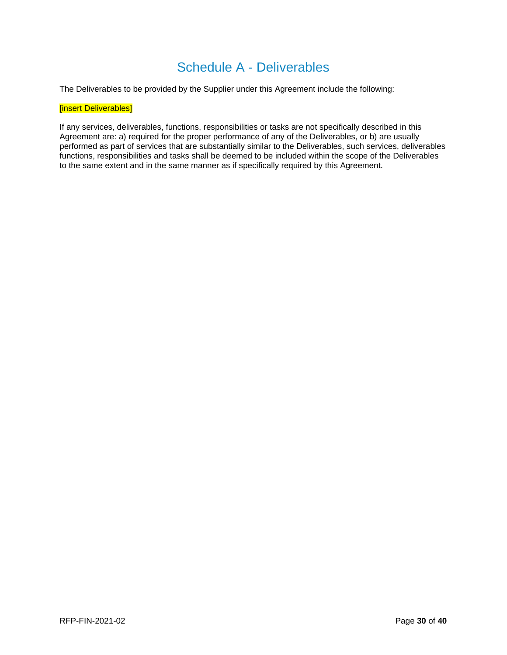# Schedule A - Deliverables

The Deliverables to be provided by the Supplier under this Agreement include the following:

#### [insert Deliverables]

If any services, deliverables, functions, responsibilities or tasks are not specifically described in this Agreement are: a) required for the proper performance of any of the Deliverables, or b) are usually performed as part of services that are substantially similar to the Deliverables, such services, deliverables functions, responsibilities and tasks shall be deemed to be included within the scope of the Deliverables to the same extent and in the same manner as if specifically required by this Agreement.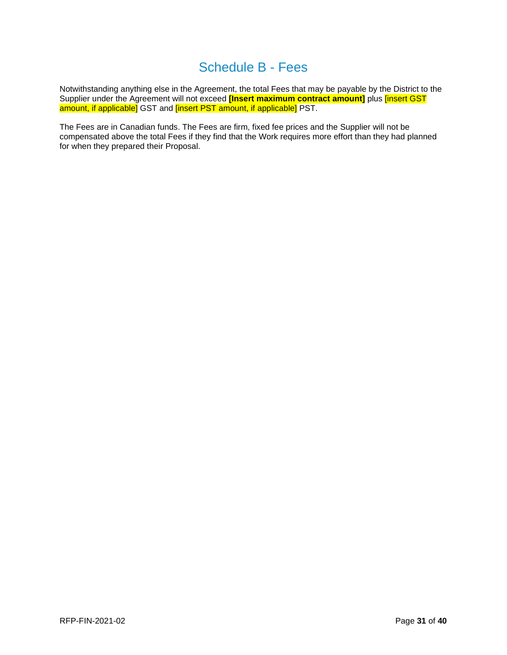# Schedule B - Fees

Notwithstanding anything else in the Agreement, the total Fees that may be payable by the District to the Supplier under the Agreement will not exceed **[Insert maximum contract amount]** plus [insert GST amount, if applicable] GST and [insert PST amount, if applicable] PST.

The Fees are in Canadian funds. The Fees are firm, fixed fee prices and the Supplier will not be compensated above the total Fees if they find that the Work requires more effort than they had planned for when they prepared their Proposal.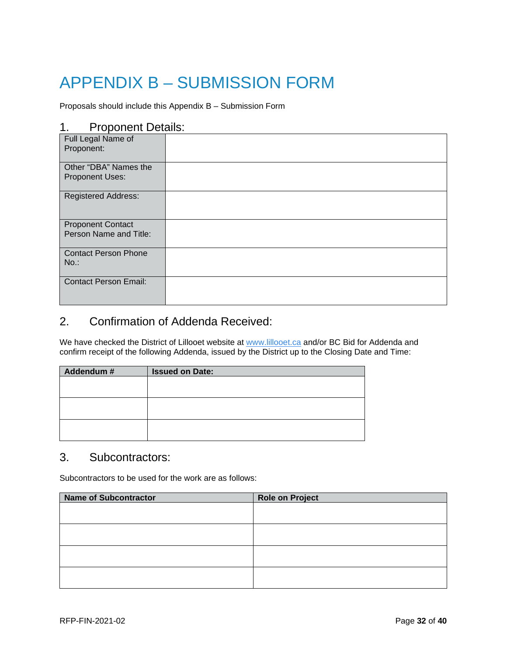# <span id="page-32-0"></span>APPENDIX B – SUBMISSION FORM

Proposals should include this Appendix B – Submission Form

## 1. Proponent Details:

| - 11                         |  |
|------------------------------|--|
| Full Legal Name of           |  |
| Proponent:                   |  |
|                              |  |
|                              |  |
| Other "DBA" Names the        |  |
|                              |  |
| Proponent Uses:              |  |
|                              |  |
| <b>Registered Address:</b>   |  |
|                              |  |
|                              |  |
|                              |  |
|                              |  |
| <b>Proponent Contact</b>     |  |
| Person Name and Title:       |  |
|                              |  |
|                              |  |
| <b>Contact Person Phone</b>  |  |
| $No.$ :                      |  |
|                              |  |
|                              |  |
| <b>Contact Person Email:</b> |  |
|                              |  |
|                              |  |
|                              |  |
|                              |  |

# 2. Confirmation of Addenda Received:

We have checked the District of Lillooet website at [www.lillooet.ca](http://www.lillooet.ca/) and/or BC Bid for Addenda and confirm receipt of the following Addenda, issued by the District up to the Closing Date and Time:

| Addendum # | <b>Issued on Date:</b> |
|------------|------------------------|
|            |                        |
|            |                        |
|            |                        |
|            |                        |
|            |                        |
|            |                        |

## 3. Subcontractors:

Subcontractors to be used for the work are as follows:

| <b>Name of Subcontractor</b> | <b>Role on Project</b> |
|------------------------------|------------------------|
|                              |                        |
|                              |                        |
|                              |                        |
|                              |                        |
|                              |                        |
|                              |                        |
|                              |                        |
|                              |                        |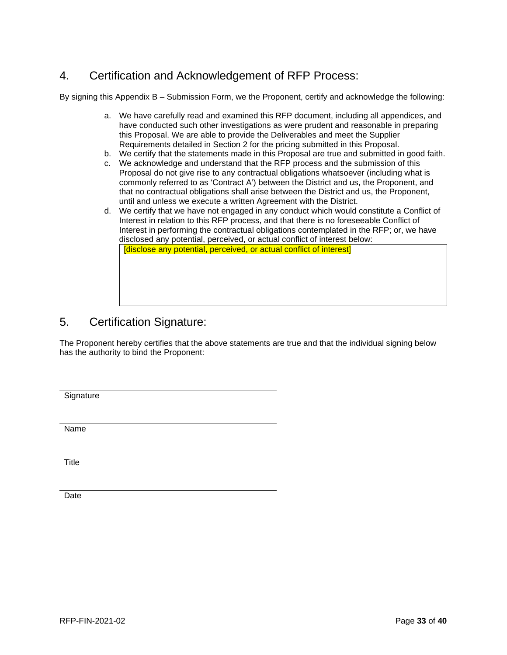# 4. Certification and Acknowledgement of RFP Process:

By signing this Appendix B – Submission Form, we the Proponent, certify and acknowledge the following:

- a. We have carefully read and examined this RFP document, including all appendices, and have conducted such other investigations as were prudent and reasonable in preparing this Proposal. We are able to provide the Deliverables and meet the Supplier Requirements detailed in Section 2 for the pricing submitted in this Proposal.
- b. We certify that the statements made in this Proposal are true and submitted in good faith.
- c. We acknowledge and understand that the RFP process and the submission of this Proposal do not give rise to any contractual obligations whatsoever (including what is commonly referred to as 'Contract A') between the District and us, the Proponent, and that no contractual obligations shall arise between the District and us, the Proponent, until and unless we execute a written Agreement with the District.
- d. We certify that we have not engaged in any conduct which would constitute a Conflict of Interest in relation to this RFP process, and that there is no foreseeable Conflict of Interest in performing the contractual obligations contemplated in the RFP; or, we have disclosed any potential, perceived, or actual conflict of interest below: [disclose any potential, perceived, or actual conflict of interest]

## 5. Certification Signature:

The Proponent hereby certifies that the above statements are true and that the individual signing below has the authority to bind the Proponent:

**Signature** 

Name

**Title** 

Date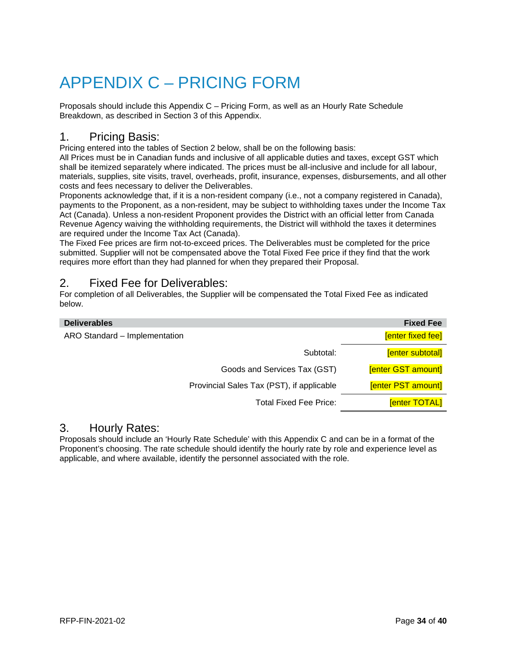# <span id="page-34-0"></span>APPENDIX C – PRICING FORM

Proposals should include this Appendix C – Pricing Form, as well as an Hourly Rate Schedule Breakdown, as described in Section 3 of this Appendix.

## 1. Pricing Basis:

Pricing entered into the tables of Section 2 below, shall be on the following basis:

All Prices must be in Canadian funds and inclusive of all applicable duties and taxes, except GST which shall be itemized separately where indicated. The prices must be all-inclusive and include for all labour, materials, supplies, site visits, travel, overheads, profit, insurance, expenses, disbursements, and all other costs and fees necessary to deliver the Deliverables.

Proponents acknowledge that, if it is a non-resident company (i.e., not a company registered in Canada), payments to the Proponent, as a non-resident, may be subject to withholding taxes under the Income Tax Act (Canada). Unless a non-resident Proponent provides the District with an official letter from Canada Revenue Agency waiving the withholding requirements, the District will withhold the taxes it determines are required under the Income Tax Act (Canada).

The Fixed Fee prices are firm not-to-exceed prices. The Deliverables must be completed for the price submitted. Supplier will not be compensated above the Total Fixed Fee price if they find that the work requires more effort than they had planned for when they prepared their Proposal.

# 2. Fixed Fee for Deliverables:

For completion of all Deliverables, the Supplier will be compensated the Total Fixed Fee as indicated below.

| <b>Deliverables</b>                       | <b>Fixed Fee</b>        |
|-------------------------------------------|-------------------------|
| ARO Standard - Implementation             | [enter fixed fee]       |
| Subtotal:                                 | <b>Fenter subtotall</b> |
| Goods and Services Tax (GST)              | [enter GST amount]      |
| Provincial Sales Tax (PST), if applicable | [enter PST amount]      |
| <b>Total Fixed Fee Price:</b>             | <b>Fenter TOTAL</b>     |

## 3. Hourly Rates:

Proposals should include an 'Hourly Rate Schedule' with this Appendix C and can be in a format of the Proponent's choosing. The rate schedule should identify the hourly rate by role and experience level as applicable, and where available, identify the personnel associated with the role.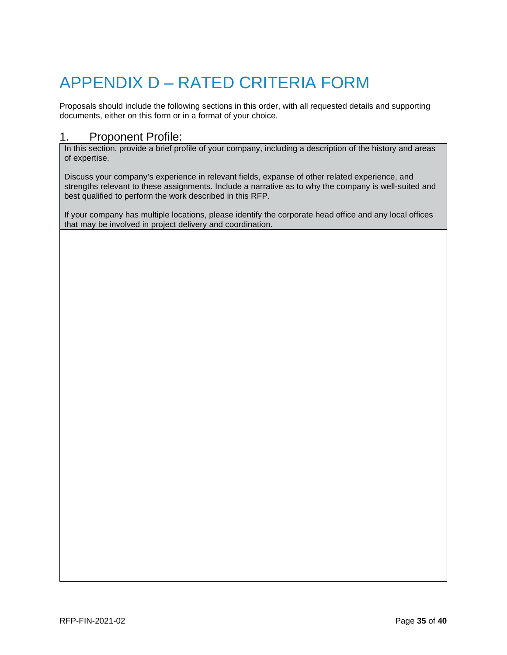# <span id="page-35-0"></span>APPENDIX D – RATED CRITERIA FORM

Proposals should include the following sections in this order, with all requested details and supporting documents, either on this form or in a format of your choice.

## 1. Proponent Profile:

In this section, provide a brief profile of your company, including a description of the history and areas of expertise.

Discuss your company's experience in relevant fields, expanse of other related experience, and strengths relevant to these assignments. Include a narrative as to why the company is well-suited and best qualified to perform the work described in this RFP.

If your company has multiple locations, please identify the corporate head office and any local offices that may be involved in project delivery and coordination.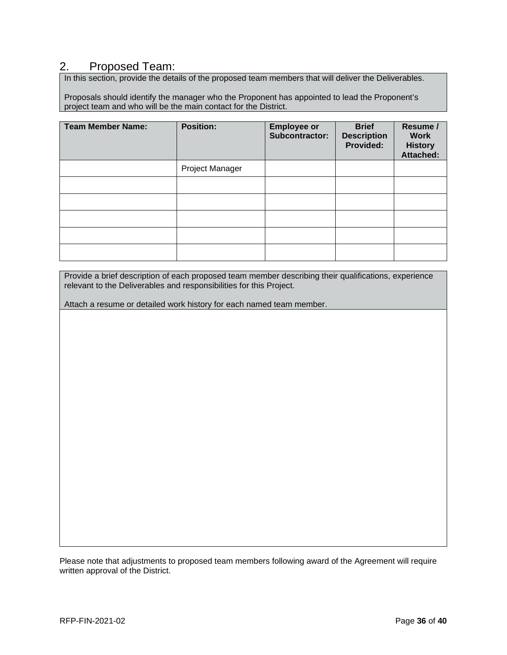## 2. Proposed Team:

In this section, provide the details of the proposed team members that will deliver the Deliverables.

Proposals should identify the manager who the Proponent has appointed to lead the Proponent's project team and who will be the main contact for the District.

| <b>Team Member Name:</b> | <b>Position:</b> | <b>Employee or</b><br><b>Subcontractor:</b> | <b>Brief</b><br><b>Description</b><br>Provided: | Resume /<br><b>Work</b><br><b>History</b><br><b>Attached:</b> |
|--------------------------|------------------|---------------------------------------------|-------------------------------------------------|---------------------------------------------------------------|
|                          | Project Manager  |                                             |                                                 |                                                               |
|                          |                  |                                             |                                                 |                                                               |
|                          |                  |                                             |                                                 |                                                               |
|                          |                  |                                             |                                                 |                                                               |
|                          |                  |                                             |                                                 |                                                               |
|                          |                  |                                             |                                                 |                                                               |

Provide a brief description of each proposed team member describing their qualifications, experience relevant to the Deliverables and responsibilities for this Project.

Attach a resume or detailed work history for each named team member.

Please note that adjustments to proposed team members following award of the Agreement will require written approval of the District.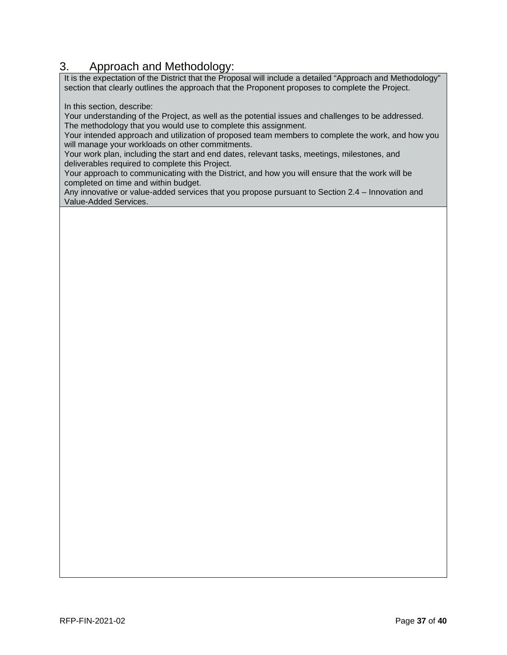# 3. Approach and Methodology:

It is the expectation of the District that the Proposal will include a detailed "Approach and Methodology" section that clearly outlines the approach that the Proponent proposes to complete the Project.

In this section, describe:

Your understanding of the Project, as well as the potential issues and challenges to be addressed. The methodology that you would use to complete this assignment.

Your intended approach and utilization of proposed team members to complete the work, and how you will manage your workloads on other commitments.

Your work plan, including the start and end dates, relevant tasks, meetings, milestones, and deliverables required to complete this Project.

Your approach to communicating with the District, and how you will ensure that the work will be completed on time and within budget.

Any innovative or value-added services that you propose pursuant to Section 2.4 – Innovation and Value-Added Services.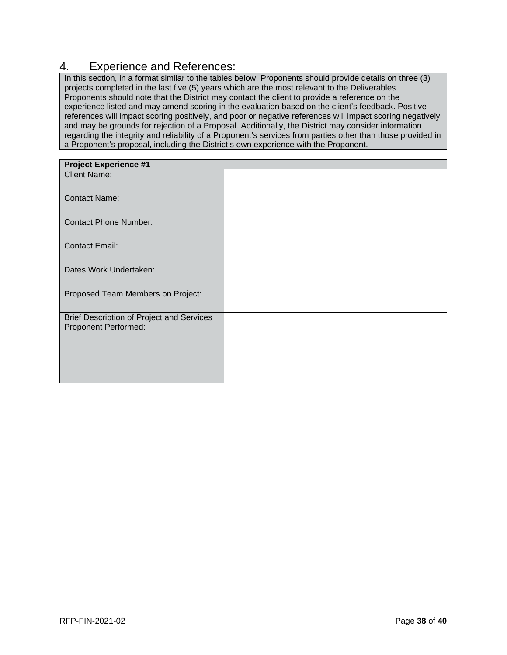## 4. Experience and References:

In this section, in a format similar to the tables below, Proponents should provide details on three (3) projects completed in the last five (5) years which are the most relevant to the Deliverables. Proponents should note that the District may contact the client to provide a reference on the experience listed and may amend scoring in the evaluation based on the client's feedback. Positive references will impact scoring positively, and poor or negative references will impact scoring negatively and may be grounds for rejection of a Proposal. Additionally, the District may consider information regarding the integrity and reliability of a Proponent's services from parties other than those provided in a Proponent's proposal, including the District's own experience with the Proponent.

| <b>Project Experience #1</b>                                      |  |
|-------------------------------------------------------------------|--|
| <b>Client Name:</b>                                               |  |
| <b>Contact Name:</b>                                              |  |
| <b>Contact Phone Number:</b>                                      |  |
| <b>Contact Email:</b>                                             |  |
| Dates Work Undertaken:                                            |  |
| Proposed Team Members on Project:                                 |  |
| Brief Description of Project and Services<br>Proponent Performed: |  |